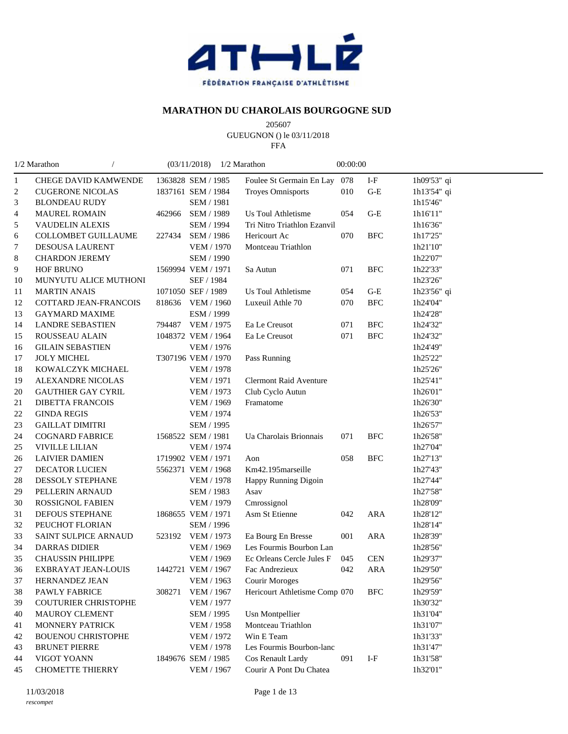

## **MARATHON DU CHAROLAIS BOURGOGNE SUD**

 GUEUGNON () le 03/11/2018

FFA

|                | 1/2 Marathon                |        | (03/11/2018)       | 1/2 Marathon                  | 00:00:00 |                           |             |
|----------------|-----------------------------|--------|--------------------|-------------------------------|----------|---------------------------|-------------|
| 1              | <b>CHEGE DAVID KAMWENDE</b> |        | 1363828 SEM / 1985 | Foulee St Germain En Lay      | 078      | $\ensuremath{\text{I-F}}$ | 1h09'53" qi |
| $\overline{c}$ | <b>CUGERONE NICOLAS</b>     |        | 1837161 SEM / 1984 | <b>Troyes Omnisports</b>      | 010      | $G-E$                     | 1h13'54" qi |
| 3              | <b>BLONDEAU RUDY</b>        |        | SEM / 1981         |                               |          |                           | 1h15'46"    |
| 4              | <b>MAUREL ROMAIN</b>        | 462966 | SEM / 1989         | <b>Us Toul Athletisme</b>     | 054      | $G-E$                     | 1h16'11"    |
| 5              | VAUDELIN ALEXIS             |        | SEM / 1994         | Tri Nitro Triathlon Ezanvil   |          |                           | 1h16'36"    |
| 6              | <b>COLLOMBET GUILLAUME</b>  |        | 227434 SEM / 1986  | Hericourt Ac                  | 070      | <b>BFC</b>                | 1h17'25"    |
| 7              | <b>DESOUSA LAURENT</b>      |        | <b>VEM / 1970</b>  | Montceau Triathlon            |          |                           | 1h21'10"    |
| 8              | <b>CHARDON JEREMY</b>       |        | <b>SEM / 1990</b>  |                               |          |                           | 1h22'07"    |
| 9              | <b>HOF BRUNO</b>            |        | 1569994 VEM / 1971 | Sa Autun                      | 071      | <b>BFC</b>                | 1h22'33"    |
| 10             | MUNYUTU ALICE MUTHONI       |        | SEF / 1984         |                               |          |                           | 1h23'26"    |
| 11             | <b>MARTIN ANAIS</b>         |        | 1071050 SEF / 1989 | Us Toul Athletisme            | 054      | $G-E$                     | 1h23'56" qi |
| 12             | COTTARD JEAN-FRANCOIS       |        | 818636 VEM / 1960  | Luxeuil Athle 70              | 070      | <b>BFC</b>                | 1h24'04"    |
| 13             | <b>GAYMARD MAXIME</b>       |        | ESM / 1999         |                               |          |                           | 1h24'28"    |
| 14             | <b>LANDRE SEBASTIEN</b>     |        | 794487 VEM / 1975  | Ea Le Creusot                 | 071      | <b>BFC</b>                | 1h24'32"    |
| 15             | ROUSSEAU ALAIN              |        | 1048372 VEM / 1964 | Ea Le Creusot                 | 071      | <b>BFC</b>                | 1h24'32"    |
| 16             | <b>GILAIN SEBASTIEN</b>     |        | VEM / 1976         |                               |          |                           | 1h24'49"    |
| 17             | <b>JOLY MICHEL</b>          |        | T307196 VEM / 1970 | Pass Running                  |          |                           | 1h25'22"    |
| 18             | KOWALCZYK MICHAEL           |        | <b>VEM / 1978</b>  |                               |          |                           | 1h25'26"    |
| 19             | ALEXANDRE NICOLAS           |        | <b>VEM / 1971</b>  | <b>Clermont Raid Aventure</b> |          |                           | 1h25'41"    |
| 20             | <b>GAUTHIER GAY CYRIL</b>   |        | <b>VEM / 1973</b>  | Club Cyclo Autun              |          |                           | 1h26'01"    |
| 21             | <b>DIBETTA FRANCOIS</b>     |        | <b>VEM / 1969</b>  | Framatome                     |          |                           | 1h26'30"    |
| 22             | <b>GINDA REGIS</b>          |        | <b>VEM / 1974</b>  |                               |          |                           | 1h26'53"    |
| 23             | <b>GAILLAT DIMITRI</b>      |        | SEM / 1995         |                               |          |                           | 1h26'57"    |
| 24             | <b>COGNARD FABRICE</b>      |        | 1568522 SEM / 1981 | Ua Charolais Brionnais        | 071      | <b>BFC</b>                | 1h26'58"    |
| 25             | <b>VIVILLE LILIAN</b>       |        | <b>VEM / 1974</b>  |                               |          |                           | 1h27'04"    |
| 26             | <b>LAIVIER DAMIEN</b>       |        | 1719902 VEM / 1971 | Aon                           | 058      | <b>BFC</b>                | 1h27'13"    |
| 27             | DECATOR LUCIEN              |        | 5562371 VEM / 1968 | Km42.195marseille             |          |                           | 1h27'43"    |
| 28             | DESSOLY STEPHANE            |        | <b>VEM / 1978</b>  | Happy Running Digoin          |          |                           | 1h27'44"    |
| 29             | PELLERIN ARNAUD             |        | SEM / 1983         | Asav                          |          |                           | 1h27'58"    |
| 30             | ROSSIGNOL FABIEN            |        | VEM / 1979         | Cmrossignol                   |          |                           | 1h28'09"    |
| 31             | DEFOUS STEPHANE             |        | 1868655 VEM / 1971 | Asm St Etienne                | 042      | <b>ARA</b>                | 1h28'12"    |
| 32             | PEUCHOT FLORIAN             |        | SEM / 1996         |                               |          |                           | 1h28'14"    |
| 33             | SAINT SULPICE ARNAUD        |        | 523192 VEM / 1973  | Ea Bourg En Bresse            | 001      | ARA                       | 1h28'39"    |
| 34             | <b>DARRAS DIDIER</b>        |        | <b>VEM / 1969</b>  | Les Fourmis Bourbon Lan       |          |                           | 1h28'56"    |
| 35             | <b>CHAUSSIN PHILIPPE</b>    |        | <b>VEM / 1969</b>  | Ec Orleans Cercle Jules F     | 045      | <b>CEN</b>                | 1h29'37"    |
| 36             | EXBRAYAT JEAN-LOUIS         |        | 1442721 VEM / 1967 | Fac Andrezieux                | 042      | <b>ARA</b>                | 1h29'50"    |
| 37             | HERNANDEZ JEAN              |        | VEM / 1963         | <b>Courir Moroges</b>         |          |                           | 1h29'56"    |
| 38             | PAWLY FABRICE               | 308271 | <b>VEM / 1967</b>  | Hericourt Athletisme Comp 070 |          | <b>BFC</b>                | 1h29'59"    |
| 39             | <b>COUTURIER CHRISTOPHE</b> |        | <b>VEM / 1977</b>  |                               |          |                           | 1h30'32"    |
| 40             | MAUROY CLEMENT              |        | SEM / 1995         | <b>Usn Montpellier</b>        |          |                           | 1h31'04"    |
| 41             | MONNERY PATRICK             |        | <b>VEM / 1958</b>  | Montceau Triathlon            |          |                           | 1h31'07"    |
| 42             | <b>BOUENOU CHRISTOPHE</b>   |        | VEM / 1972         | Win E Team                    |          |                           | 1h31'33"    |
| 43             | <b>BRUNET PIERRE</b>        |        | <b>VEM / 1978</b>  | Les Fourmis Bourbon-lanc      |          |                           | 1h31'47"    |
| 44             | VIGOT YOANN                 |        | 1849676 SEM / 1985 | Cos Renault Lardy             | 091      | $I-F$                     | 1h31'58"    |
| 45             | <b>CHOMETTE THIERRY</b>     |        | <b>VEM / 1967</b>  | Courir A Pont Du Chatea       |          |                           | 1h32'01"    |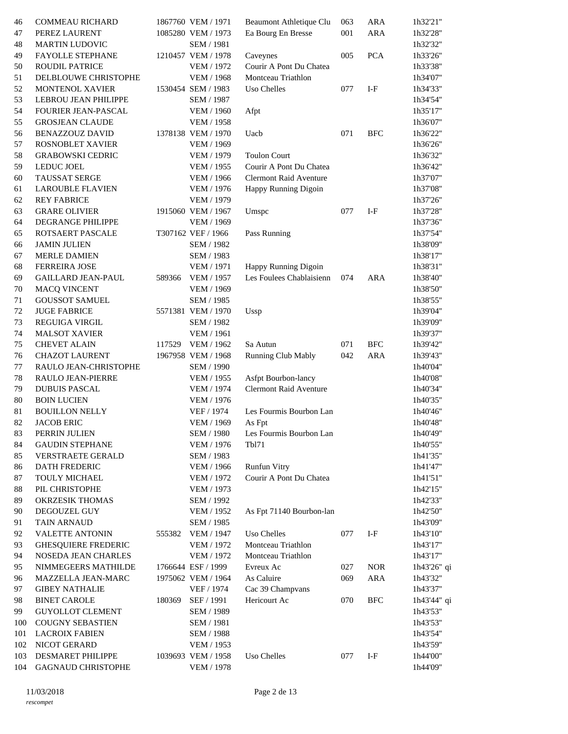| 46  | COMMEAU RICHARD            |        | 1867760 VEM / 1971 | Beaumont Athletique Clu       | 063     | <b>ARA</b>   | 1h32'21"    |
|-----|----------------------------|--------|--------------------|-------------------------------|---------|--------------|-------------|
| 47  | PEREZ LAURENT              |        | 1085280 VEM / 1973 | Ea Bourg En Bresse            | $001\,$ | <b>ARA</b>   | 1h32'28"    |
| 48  | <b>MARTIN LUDOVIC</b>      |        | SEM / 1981         |                               |         |              | 1h32'32"    |
| 49  | FAYOLLE STEPHANE           |        | 1210457 VEM / 1978 | Caveynes                      | 005     | <b>PCA</b>   | 1h33'26"    |
| 50  | <b>ROUDIL PATRICE</b>      |        | <b>VEM / 1972</b>  | Courir A Pont Du Chatea       |         |              | 1h33'38"    |
| 51  | DELBLOUWE CHRISTOPHE       |        | <b>VEM / 1968</b>  | Montceau Triathlon            |         |              | 1h34'07"    |
| 52  | <b>MONTENOL XAVIER</b>     |        | 1530454 SEM / 1983 | Uso Chelles                   | 077     | $I-F$        | 1h34'33"    |
| 53  | LEBROU JEAN PHILIPPE       |        | SEM / 1987         |                               |         |              | 1h34'54"    |
| 54  | <b>FOURIER JEAN-PASCAL</b> |        |                    |                               |         |              |             |
|     |                            |        | <b>VEM / 1960</b>  | Afpt                          |         |              | 1h35'17"    |
| 55  | <b>GROSJEAN CLAUDE</b>     |        | <b>VEM / 1958</b>  |                               |         |              | 1h36'07"    |
| 56  | <b>BENAZZOUZ DAVID</b>     |        | 1378138 VEM / 1970 | Uacb                          | 071     | <b>BFC</b>   | 1h36'22"    |
| 57  | ROSNOBLET XAVIER           |        | VEM / 1969         |                               |         |              | 1h36'26"    |
| 58  | <b>GRABOWSKI CEDRIC</b>    |        | <b>VEM / 1979</b>  | <b>Toulon Court</b>           |         |              | 1h36'32"    |
| 59  | <b>LEDUC JOEL</b>          |        | <b>VEM / 1955</b>  | Courir A Pont Du Chatea       |         |              | 1h36'42"    |
| 60  | <b>TAUSSAT SERGE</b>       |        | VEM / 1966         | <b>Clermont Raid Aventure</b> |         |              | 1h37'07"    |
| 61  | <b>LAROUBLE FLAVIEN</b>    |        | <b>VEM / 1976</b>  | Happy Running Digoin          |         |              | 1h37'08"    |
| 62  | <b>REY FABRICE</b>         |        | VEM / 1979         |                               |         |              | 1h37'26"    |
| 63  | <b>GRARE OLIVIER</b>       |        | 1915060 VEM / 1967 | Umspc                         | 077     | $I-F$        | 1h37'28"    |
| 64  | DEGRANGE PHILIPPE          |        | VEM / 1969         |                               |         |              | 1h37'36"    |
| 65  | ROTSAERT PASCALE           |        | T307162 VEF / 1966 | Pass Running                  |         |              | 1h37'54"    |
| 66  | <b>JAMIN JULIEN</b>        |        | SEM / 1982         |                               |         |              | 1h38'09"    |
| 67  | <b>MERLE DAMIEN</b>        |        | SEM / 1983         |                               |         |              | 1h38'17"    |
| 68  | <b>FERREIRA JOSE</b>       |        | <b>VEM / 1971</b>  | Happy Running Digoin          |         |              | 1h38'31"    |
| 69  | <b>GAILLARD JEAN-PAUL</b>  | 589366 | <b>VEM / 1957</b>  | Les Foulees Chablaisienn      | 074     | <b>ARA</b>   | 1h38'40"    |
| 70  | <b>MACQ VINCENT</b>        |        | <b>VEM / 1969</b>  |                               |         |              | 1h38'50"    |
| 71  | <b>GOUSSOT SAMUEL</b>      |        | SEM / 1985         |                               |         |              | 1h38'55"    |
| 72  | <b>JUGE FABRICE</b>        |        | 5571381 VEM / 1970 | Ussp                          |         |              | 1h39'04"    |
| 73  | <b>REGUIGA VIRGIL</b>      |        | SEM / 1982         |                               |         |              | 1h39'09"    |
| 74  |                            |        |                    |                               |         |              |             |
|     | <b>MALSOT XAVIER</b>       |        | <b>VEM / 1961</b>  |                               |         |              | 1h39'37"    |
| 75  | <b>CHEVET ALAIN</b>        |        | 117529 VEM / 1962  | Sa Autun                      | 071     | $_{\rm BFC}$ | 1h39'42"    |
| 76  | <b>CHAZOT LAURENT</b>      |        | 1967958 VEM / 1968 | Running Club Mably            | 042     | <b>ARA</b>   | 1h39'43"    |
| 77  | RAULO JEAN-CHRISTOPHE      |        | <b>SEM / 1990</b>  |                               |         |              | 1h40'04"    |
| 78  | RAULO JEAN-PIERRE          |        | VEM / 1955         | Asfpt Bourbon-lancy           |         |              | 1h40'08"    |
| 79  | <b>DUBUIS PASCAL</b>       |        | <b>VEM / 1974</b>  | <b>Clermont Raid Aventure</b> |         |              | 1h40'34"    |
| 80  | <b>BOIN LUCIEN</b>         |        | <b>VEM / 1976</b>  |                               |         |              | 1h40'35"    |
| 81  | <b>BOUILLON NELLY</b>      |        | VEF / 1974         | Les Fourmis Bourbon Lan       |         |              | 1h40'46"    |
| 82  | <b>JACOB ERIC</b>          |        | VEM / 1969         | As Fpt                        |         |              | 1h40'48"    |
| 83  | PERRIN JULIEN              |        | SEM / 1980         | Les Fourmis Bourbon Lan       |         |              | 1h40'49"    |
| 84  | <b>GAUDIN STEPHANE</b>     |        | VEM / 1976         | Tbl71                         |         |              | 1h40'55"    |
| 85  | VERSTRAETE GERALD          |        | SEM / 1983         |                               |         |              | 1h41'35"    |
| 86  | DATH FREDERIC              |        | <b>VEM / 1966</b>  | <b>Runfun Vitry</b>           |         |              | 1h41'47"    |
| 87  | TOULY MICHAEL              |        | VEM / 1972         | Courir A Pont Du Chatea       |         |              | 1h41'51"    |
| 88  | PIL CHRISTOPHE             |        | VEM / 1973         |                               |         |              | 1h42'15"    |
| 89  | OKRZESIK THOMAS            |        | SEM / 1992         |                               |         |              | 1h42'33"    |
| 90  | DEGOUZEL GUY               |        | <b>VEM / 1952</b>  | As Fpt 71140 Bourbon-lan      |         |              | 1h42'50"    |
| 91  | <b>TAIN ARNAUD</b>         |        | SEM / 1985         |                               |         |              | 1h43'09"    |
| 92  | <b>VALETTE ANTONIN</b>     | 555382 | <b>VEM / 1947</b>  | Uso Chelles                   | 077     | $I-F$        | 1h43'10"    |
| 93  | <b>GHESQUIERE FREDERIC</b> |        | <b>VEM / 1972</b>  | Montceau Triathlon            |         |              | 1h43'17"    |
| 94  | NOSEDA JEAN CHARLES        |        | VEM / 1972         | Montceau Triathlon            |         |              | 1h43'17"    |
| 95  | NIMMEGEERS MATHILDE        |        | 1766644 ESF / 1999 | Evreux Ac                     | 027     | <b>NOR</b>   | 1h43'26" qi |
|     |                            |        |                    | As Caluire                    |         |              |             |
| 96  | MAZZELLA JEAN-MARC         |        | 1975062 VEM / 1964 |                               | 069     | <b>ARA</b>   | 1h43'32"    |
| 97  | <b>GIBEY NATHALIE</b>      |        | VEF / 1974         | Cac 39 Champvans              |         |              | 1h43'37"    |
| 98  | <b>BINET CAROLE</b>        | 180369 | SEF / 1991         | Hericourt Ac                  | 070     | <b>BFC</b>   | 1h43'44" qi |
| 99  | <b>GUYOLLOT CLEMENT</b>    |        | SEM / 1989         |                               |         |              | 1h43'53"    |
| 100 | <b>COUGNY SEBASTIEN</b>    |        | <b>SEM / 1981</b>  |                               |         |              | 1h43'53"    |
| 101 | <b>LACROIX FABIEN</b>      |        | <b>SEM / 1988</b>  |                               |         |              | 1h43'54"    |
| 102 | NICOT GERARD               |        | VEM / 1953         |                               |         |              | 1h43'59"    |
| 103 | <b>DESMARET PHILIPPE</b>   |        | 1039693 VEM / 1958 | Uso Chelles                   | 077     | $I-F$        | 1h44'00"    |
| 104 | <b>GAGNAUD CHRISTOPHE</b>  |        | <b>VEM / 1978</b>  |                               |         |              | 1h44'09"    |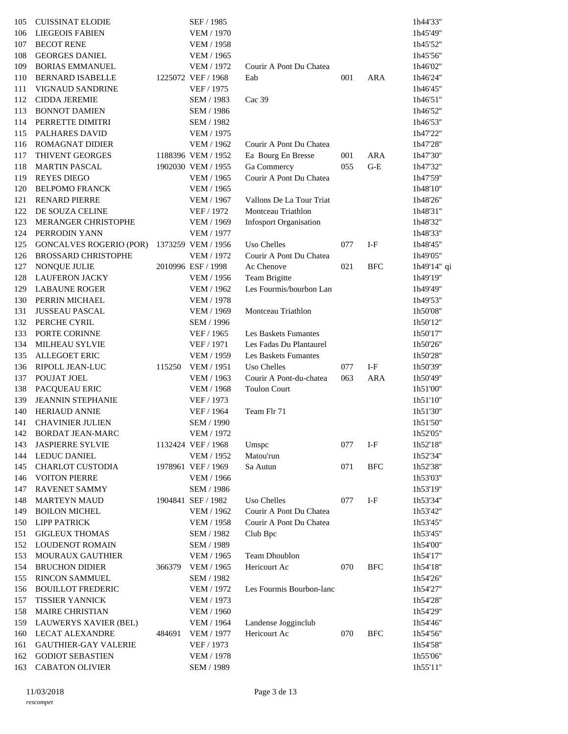| 105 | <b>CUISSINAT ELODIE</b>        |        | SEF / 1985         |                               |     |            | 1h44'33"    |
|-----|--------------------------------|--------|--------------------|-------------------------------|-----|------------|-------------|
| 106 | <b>LIEGEOIS FABIEN</b>         |        | VEM / 1970         |                               |     |            | 1h45'49"    |
| 107 | <b>BECOT RENE</b>              |        | <b>VEM / 1958</b>  |                               |     |            | 1h45'52"    |
| 108 | <b>GEORGES DANIEL</b>          |        | <b>VEM / 1965</b>  |                               |     |            | 1h45'56"    |
| 109 | <b>BORIAS EMMANUEL</b>         |        | VEM / 1972         | Courir A Pont Du Chatea       |     |            | 1h46'02"    |
| 110 | <b>BERNARD ISABELLE</b>        |        | 1225072 VEF / 1968 | Eab                           | 001 | <b>ARA</b> | 1h46'24"    |
| 111 | <b>VIGNAUD SANDRINE</b>        |        | VEF / 1975         |                               |     |            | 1h46'45"    |
| 112 | <b>CIDDA JEREMIE</b>           |        | SEM / 1983         | Cac 39                        |     |            | 1h46'51"    |
| 113 | <b>BONNOT DAMIEN</b>           |        | SEM / 1986         |                               |     |            | 1h46'52"    |
| 114 | PERRETTE DIMITRI               |        | SEM / 1982         |                               |     |            | 1h46'53"    |
| 115 | PALHARES DAVID                 |        | VEM / 1975         |                               |     |            | 1h47'22"    |
| 116 | ROMAGNAT DIDIER                |        | <b>VEM / 1962</b>  | Courir A Pont Du Chatea       |     |            | 1h47'28"    |
| 117 | THIVENT GEORGES                |        | 1188396 VEM / 1952 | Ea Bourg En Bresse            | 001 | <b>ARA</b> | 1h47'30"    |
| 118 | <b>MARTIN PASCAL</b>           |        | 1902030 VEM / 1955 | Ga Commercy                   | 055 | $G-E$      | 1h47'32"    |
| 119 | <b>REYES DIEGO</b>             |        | <b>VEM / 1965</b>  | Courir A Pont Du Chatea       |     |            | 1h47'59"    |
| 120 | <b>BELPOMO FRANCK</b>          |        | <b>VEM / 1965</b>  |                               |     |            | 1h48'10"    |
| 121 | <b>RENARD PIERRE</b>           |        | <b>VEM / 1967</b>  | Vallons De La Tour Triat      |     |            | 1h48'26"    |
| 122 | DE SOUZA CELINE                |        | VEF / 1972         | Montceau Triathlon            |     |            | 1h48'31"    |
| 123 | MERANGER CHRISTOPHE            |        | <b>VEM / 1969</b>  | <b>Infosport Organisation</b> |     |            | 1h48'32"    |
| 124 | PERRODIN YANN                  |        | <b>VEM / 1977</b>  |                               |     |            | 1h48'33"    |
| 125 | <b>GONCALVES ROGERIO (POR)</b> |        | 1373259 VEM / 1956 | Uso Chelles                   | 077 | $I-F$      | 1h48'45"    |
| 126 | <b>BROSSARD CHRISTOPHE</b>     |        | VEM / 1972         | Courir A Pont Du Chatea       |     |            | 1h49'05"    |
| 127 | NONQUE JULIE                   |        | 2010996 ESF / 1998 | Ac Chenove                    | 021 | <b>BFC</b> | 1h49'14" qi |
| 128 | <b>LAUFERON JACKY</b>          |        | <b>VEM / 1956</b>  | Team Brigitte                 |     |            | 1h49'19"    |
| 129 | <b>LABAUNE ROGER</b>           |        | <b>VEM / 1962</b>  | Les Fourmis/bourbon Lan       |     |            | 1h49'49"    |
| 130 | PERRIN MICHAEL                 |        | <b>VEM / 1978</b>  |                               |     |            | 1h49'53"    |
| 131 | <b>JUSSEAU PASCAL</b>          |        | <b>VEM / 1969</b>  | Montceau Triathlon            |     |            | 1h50'08"    |
| 132 | PERCHE CYRIL                   |        | SEM / 1996         |                               |     |            | 1h50'12"    |
| 133 | PORTE CORINNE                  |        | VEF / 1965         | Les Baskets Fumantes          |     |            | 1h50'17"    |
| 134 | MILHEAU SYLVIE                 |        | VEF / 1971         | Les Fadas Du Plantaurel       |     |            | 1h50'26"    |
| 135 | <b>ALLEGOET ERIC</b>           |        | <b>VEM / 1959</b>  | Les Baskets Fumantes          |     |            | 1h50'28"    |
| 136 | RIPOLL JEAN-LUC                | 115250 | VEM / 1951         | Uso Chelles                   | 077 | $I-F$      | 1h50'39"    |
| 137 | POUJAT JOEL                    |        | VEM / 1963         | Courir A Pont-du-chatea       | 063 | <b>ARA</b> | 1h50'49"    |
| 138 | PACQUEAU ERIC                  |        | <b>VEM / 1968</b>  | <b>Toulon Court</b>           |     |            | 1h51'00"    |
| 139 | <b>JEANNIN STEPHANIE</b>       |        | VEF / 1973         |                               |     |            | 1h51'10"    |
| 140 | <b>HERIAUD ANNIE</b>           |        | VEF / 1964         | Team Flr 71                   |     |            | 1h51'30"    |
| 141 | <b>CHAVINIER JULIEN</b>        |        | SEM / 1990         |                               |     |            | 1h51'50"    |
|     | 142 BORDAT JEAN-MARC           |        | VEM / 1972         |                               |     |            | 1h52'05"    |
| 143 | <b>JASPIERRE SYLVIE</b>        |        | 1132424 VEF / 1968 | Umspc                         | 077 | $I-F$      | 1h52'18"    |
| 144 | <b>LEDUC DANIEL</b>            |        | <b>VEM / 1952</b>  | Matou'run                     |     |            | 1h52'34"    |
| 145 | <b>CHARLOT CUSTODIA</b>        |        | 1978961 VEF / 1969 | Sa Autun                      | 071 | <b>BFC</b> | 1h52'38"    |
| 146 | <b>VOITON PIERRE</b>           |        | VEM / 1966         |                               |     |            | 1h53'03"    |
| 147 | <b>RAVENET SAMMY</b>           |        | SEM / 1986         |                               |     |            | 1h53'19"    |
| 148 | <b>MARTEYN MAUD</b>            |        | 1904841 SEF / 1982 | <b>Uso Chelles</b>            | 077 | $I-F$      | 1h53'34"    |
| 149 | <b>BOILON MICHEL</b>           |        | <b>VEM / 1962</b>  | Courir A Pont Du Chatea       |     |            | 1h53'42"    |
| 150 | <b>LIPP PATRICK</b>            |        | <b>VEM / 1958</b>  | Courir A Pont Du Chatea       |     |            | 1h53'45"    |
| 151 | <b>GIGLEUX THOMAS</b>          |        | SEM / 1982         | Club Bpc                      |     |            | 1h53'45"    |
| 152 | <b>LOUDENOT ROMAIN</b>         |        | SEM / 1989         |                               |     |            | 1h54'00"    |
| 153 | MOURAUX GAUTHIER               |        | <b>VEM / 1965</b>  | Team Dhoublon                 |     |            | 1h54'17"    |
| 154 | <b>BRUCHON DIDIER</b>          | 366379 | <b>VEM / 1965</b>  | Hericourt Ac                  | 070 | <b>BFC</b> | 1h54'18"    |
| 155 | <b>RINCON SAMMUEL</b>          |        | SEM / 1982         |                               |     |            | 1h54'26"    |
| 156 | <b>BOUILLOT FREDERIC</b>       |        | VEM / 1972         | Les Fourmis Bourbon-lanc      |     |            | 1h54'27"    |
| 157 | <b>TISSIER YANNICK</b>         |        | VEM / 1973         |                               |     |            | 1h54'28"    |
|     |                                |        |                    |                               |     |            |             |
| 158 | <b>MAIRE CHRISTIAN</b>         |        | <b>VEM / 1960</b>  |                               |     |            | 1h54'29"    |
| 159 | LAUWERYS XAVIER (BEL)          |        | <b>VEM / 1964</b>  | Landense Jogginclub           |     |            | 1h54'46"    |
| 160 | <b>LECAT ALEXANDRE</b>         | 484691 | <b>VEM / 1977</b>  | Hericourt Ac                  | 070 | <b>BFC</b> | 1h54'56"    |
| 161 | <b>GAUTHIER-GAY VALERIE</b>    |        | VEF / 1973         |                               |     |            | 1h54'58"    |
| 162 | <b>GODIOT SEBASTIEN</b>        |        | <b>VEM / 1978</b>  |                               |     |            | 1h55'06"    |
| 163 | <b>CABATON OLIVIER</b>         |        | SEM / 1989         |                               |     |            | 1h55'11"    |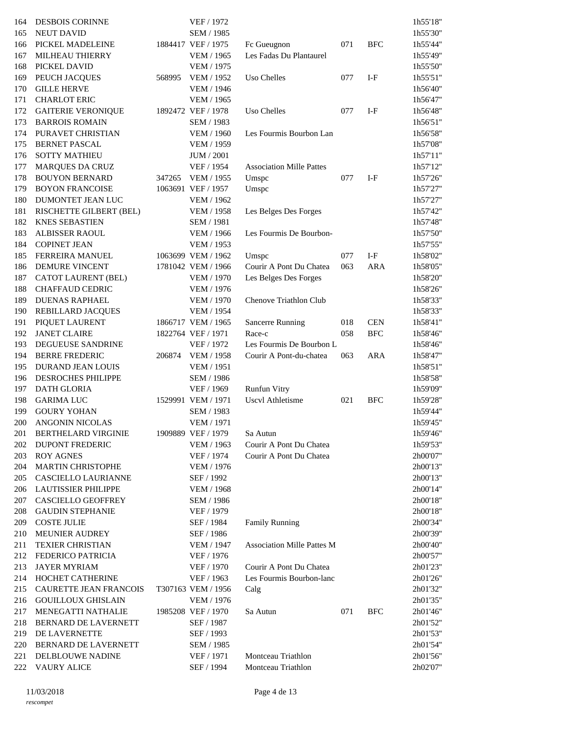| 164 | <b>DESBOIS CORINNE</b>         |        | VEF / 1972         |                                   |     |            | 1h55'18" |
|-----|--------------------------------|--------|--------------------|-----------------------------------|-----|------------|----------|
| 165 | <b>NEUT DAVID</b>              |        | SEM / 1985         |                                   |     |            | 1h55'30" |
| 166 | PICKEL MADELEINE               |        | 1884417 VEF / 1975 | Fc Gueugnon                       | 071 | <b>BFC</b> | 1h55'44" |
| 167 | MILHEAU THIERRY                |        | <b>VEM / 1965</b>  | Les Fadas Du Plantaurel           |     |            | 1h55'49" |
| 168 | PICKEL DAVID                   |        | <b>VEM / 1975</b>  |                                   |     |            | 1h55'50" |
| 169 | PEUCH JACQUES                  | 568995 | VEM / 1952         | Uso Chelles                       | 077 | $I-F$      | 1h55'51" |
| 170 | <b>GILLE HERVE</b>             |        | <b>VEM / 1946</b>  |                                   |     |            | 1h56'40" |
| 171 | <b>CHARLOT ERIC</b>            |        | <b>VEM / 1965</b>  |                                   |     |            | 1h56'47" |
| 172 | <b>GAITERIE VERONIQUE</b>      |        | 1892472 VEF / 1978 | Uso Chelles                       | 077 | $I-F$      | 1h56'48" |
| 173 | <b>BARROIS ROMAIN</b>          |        | SEM / 1983         |                                   |     |            | 1h56'51" |
| 174 | PURAVET CHRISTIAN              |        | <b>VEM / 1960</b>  | Les Fourmis Bourbon Lan           |     |            | 1h56'58" |
| 175 | <b>BERNET PASCAL</b>           |        | <b>VEM / 1959</b>  |                                   |     |            | 1h57'08" |
| 176 | <b>SOTTY MATHIEU</b>           |        | <b>JUM</b> / 2001  |                                   |     |            | 1h57'11" |
| 177 | <b>MARQUES DA CRUZ</b>         |        | VEF / 1954         | <b>Association Mille Pattes</b>   |     |            | 1h57'12" |
| 178 | <b>BOUYON BERNARD</b>          | 347265 | VEM / 1955         | Umspc                             | 077 | $I-F$      | 1h57'26" |
| 179 | <b>BOYON FRANCOISE</b>         |        | 1063691 VEF / 1957 | Umspc                             |     |            | 1h57'27" |
| 180 | DUMONTET JEAN LUC              |        | VEM / 1962         |                                   |     |            | 1h57'27" |
| 181 | <b>RISCHETTE GILBERT (BEL)</b> |        | <b>VEM / 1958</b>  | Les Belges Des Forges             |     |            | 1h57'42" |
| 182 | <b>KNES SEBASTIEN</b>          |        | <b>SEM / 1981</b>  |                                   |     |            | 1h57'48" |
| 183 | ALBISSER RAOUL                 |        | <b>VEM / 1966</b>  | Les Fourmis De Bourbon-           |     |            | 1h57'50" |
| 184 | <b>COPINET JEAN</b>            |        | VEM / 1953         |                                   |     |            | 1h57'55" |
| 185 | <b>FERREIRA MANUEL</b>         |        | 1063699 VEM / 1962 | Umspc                             | 077 | $I-F$      | 1h58'02" |
| 186 | DEMURE VINCENT                 |        | 1781042 VEM / 1966 | Courir A Pont Du Chatea           | 063 | <b>ARA</b> | 1h58'05" |
| 187 | <b>CATOT LAURENT (BEL)</b>     |        | <b>VEM / 1970</b>  | Les Belges Des Forges             |     |            | 1h58'20" |
| 188 | <b>CHAFFAUD CEDRIC</b>         |        | <b>VEM / 1976</b>  |                                   |     |            | 1h58'26" |
| 189 | <b>DUENAS RAPHAEL</b>          |        | <b>VEM / 1970</b>  | Chenove Triathlon Club            |     |            | lh58'33" |
| 190 | REBILLARD JACQUES              |        | <b>VEM / 1954</b>  |                                   |     |            | lh58'33" |
| 191 | PIQUET LAURENT                 |        | 1866717 VEM / 1965 | <b>Sancerre Running</b>           | 018 | <b>CEN</b> | 1h58'41" |
| 192 | <b>JANET CLAIRE</b>            |        | 1822764 VEF / 1971 | Race-c                            | 058 | <b>BFC</b> | 1h58'46" |
| 193 | DEGUEUSE SANDRINE              |        | VEF / 1972         | Les Fourmis De Bourbon L          |     |            | 1h58'46" |
| 194 | <b>BERRE FREDERIC</b>          | 206874 | VEM / 1958         | Courir A Pont-du-chatea           | 063 | <b>ARA</b> | 1h58'47" |
| 195 | DURAND JEAN LOUIS              |        | <b>VEM / 1951</b>  |                                   |     |            | 1h58'51" |
| 196 | DESROCHES PHILIPPE             |        | SEM / 1986         |                                   |     |            | 1h58'58" |
| 197 | <b>DATH GLORIA</b>             |        | VEF / 1969         | Runfun Vitry                      |     |            | 1h59'09" |
| 198 | <b>GARIMA LUC</b>              |        | 1529991 VEM / 1971 | Uscvl Athletisme                  | 021 | <b>BFC</b> | 1h59'28" |
| 199 | <b>GOURY YOHAN</b>             |        | SEM / 1983         |                                   |     |            | 1h59'44" |
| 200 | <b>ANGONIN NICOLAS</b>         |        | <b>VEM / 1971</b>  |                                   |     |            | 1h59'45" |
| 201 | <b>BERTHELARD VIRGINIE</b>     |        | 1909889 VEF / 1979 | Sa Autun                          |     |            | 1h59'46" |
| 202 | DUPONT FREDERIC                |        | VEM / 1963         | Courir A Pont Du Chatea           |     |            | 1h59'53" |
| 203 | <b>ROY AGNES</b>               |        | VEF / 1974         | Courir A Pont Du Chatea           |     |            | 2h00'07" |
| 204 | <b>MARTIN CHRISTOPHE</b>       |        | VEM / 1976         |                                   |     |            | 2h00'13" |
| 205 | CASCIELLO LAURIANNE            |        | SEF / 1992         |                                   |     |            | 2h00'13" |
| 206 | <b>LAUTISSIER PHILIPPE</b>     |        | <b>VEM / 1968</b>  |                                   |     |            | 2h00'14" |
| 207 | CASCIELLO GEOFFREY             |        | SEM / 1986         |                                   |     |            | 2h00'18" |
| 208 | <b>GAUDIN STEPHANIE</b>        |        | VEF / 1979         |                                   |     |            | 2h00'18" |
| 209 | <b>COSTE JULIE</b>             |        | SEF / 1984         | <b>Family Running</b>             |     |            | 2h00'34" |
| 210 | <b>MEUNIER AUDREY</b>          |        | SEF / 1986         |                                   |     |            | 2h00'39" |
| 211 | <b>TEXIER CHRISTIAN</b>        |        | <b>VEM / 1947</b>  | <b>Association Mille Pattes M</b> |     |            | 2h00'40" |
| 212 | FEDERICO PATRICIA              |        | VEF / 1976         |                                   |     |            | 2h00'57" |
| 213 | <b>JAYER MYRIAM</b>            |        | VEF / 1970         | Courir A Pont Du Chatea           |     |            | 2h01'23" |
| 214 | HOCHET CATHERINE               |        | VEF / 1963         | Les Fourmis Bourbon-lanc          |     |            | 2h01'26" |
| 215 | CAURETTE JEAN FRANCOIS         |        | T307163 VEM / 1956 | Calg                              |     |            | 2h01'32" |
| 216 | <b>GOUILLOUX GHISLAIN</b>      |        | <b>VEM / 1976</b>  |                                   |     |            | 2h01'35" |
| 217 | MENEGATTI NATHALIE             |        | 1985208 VEF / 1970 | Sa Autun                          | 071 | <b>BFC</b> | 2h01'46" |
| 218 | <b>BERNARD DE LAVERNETT</b>    |        | SEF / 1987         |                                   |     |            | 2h01'52" |
| 219 | DE LAVERNETTE                  |        | SEF / 1993         |                                   |     |            | 2h01'53" |
| 220 | <b>BERNARD DE LAVERNETT</b>    |        | SEM / 1985         |                                   |     |            | 2h01'54" |
| 221 | DELBLOUWE NADINE               |        | VEF / 1971         | Montceau Triathlon                |     |            | 2h01'56" |
| 222 | <b>VAURY ALICE</b>             |        | SEF / 1994         | Montceau Triathlon                |     |            | 2h02'07" |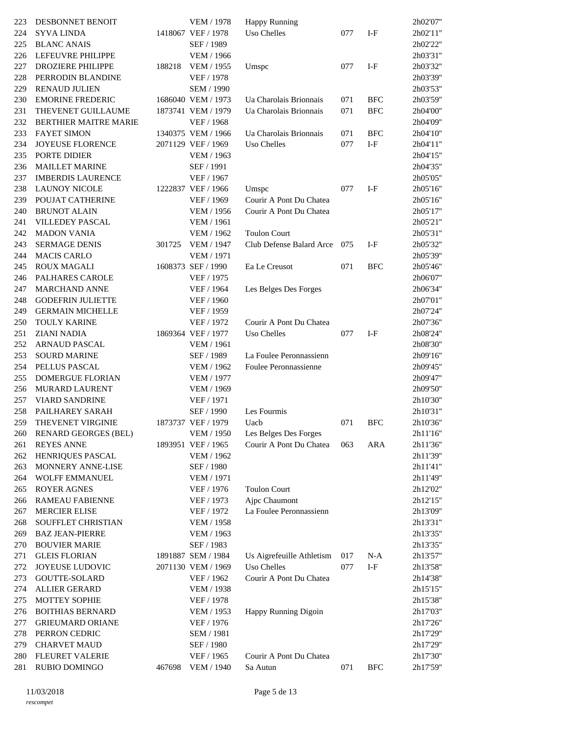| 223 | DESBONNET BENOIT         |        | <b>VEM / 1978</b>  | Happy Running             |     |              | 2h02'07" |
|-----|--------------------------|--------|--------------------|---------------------------|-----|--------------|----------|
| 224 | <b>SYVA LINDA</b>        |        | 1418067 VEF / 1978 | <b>Uso Chelles</b>        | 077 | $I-F$        | 2h02'11" |
| 225 | <b>BLANC ANAIS</b>       |        | SEF / 1989         |                           |     |              | 2h02'22" |
| 226 | LEFEUVRE PHILIPPE        |        | <b>VEM / 1966</b>  |                           |     |              | 2h03'31" |
| 227 | <b>DROZIERE PHILIPPE</b> | 188218 | VEM / 1955         | Umspc                     | 077 | $I-F$        | 2h03'32" |
| 228 | PERRODIN BLANDINE        |        | VEF / 1978         |                           |     |              | 2h03'39" |
| 229 | <b>RENAUD JULIEN</b>     |        | SEM / 1990         |                           |     |              | 2h03'53" |
| 230 | <b>EMORINE FREDERIC</b>  |        | 1686040 VEM / 1973 | Ua Charolais Brionnais    | 071 | <b>BFC</b>   | 2h03'59" |
| 231 | THEVENET GUILLAUME       |        | 1873741 VEM / 1979 | Ua Charolais Brionnais    | 071 | <b>BFC</b>   | 2h04'00" |
| 232 | BERTHIER MAITRE MARIE    |        | VEF / 1968         |                           |     |              | 2h04'09" |
| 233 | <b>FAYET SIMON</b>       |        | 1340375 VEM / 1966 | Ua Charolais Brionnais    | 071 | <b>BFC</b>   | 2h04'10" |
| 234 | JOYEUSE FLORENCE         |        | 2071129 VEF / 1969 | Uso Chelles               | 077 | $I-F$        | 2h04'11" |
| 235 | PORTE DIDIER             |        | <b>VEM / 1963</b>  |                           |     |              | 2h04'15" |
| 236 | <b>MAILLET MARINE</b>    |        | SEF / 1991         |                           |     |              | 2h04'35" |
| 237 | <b>IMBERDIS LAURENCE</b> |        | VEF / 1967         |                           |     |              | 2h05'05" |
| 238 |                          |        |                    |                           | 077 | $I-F$        |          |
|     | <b>LAUNOY NICOLE</b>     |        | 1222837 VEF / 1966 | Umspc                     |     |              | 2h05'16" |
| 239 | POUJAT CATHERINE         |        | VEF / 1969         | Courir A Pont Du Chatea   |     |              | 2h05'16" |
| 240 | <b>BRUNOT ALAIN</b>      |        | <b>VEM / 1956</b>  | Courir A Pont Du Chatea   |     |              | 2h05'17" |
| 241 | VILLEDEY PASCAL          |        | <b>VEM / 1961</b>  |                           |     |              | 2h05'21" |
| 242 | <b>MADON VANIA</b>       |        | VEM / 1962         | <b>Toulon Court</b>       |     |              | 2h05'31" |
| 243 | <b>SERMAGE DENIS</b>     | 301725 | <b>VEM / 1947</b>  | Club Defense Balard Arce  | 075 | $I-F$        | 2h05'32" |
| 244 | <b>MACIS CARLO</b>       |        | <b>VEM / 1971</b>  |                           |     |              | 2h05'39" |
| 245 | <b>ROUX MAGALI</b>       |        | 1608373 SEF / 1990 | Ea Le Creusot             | 071 | <b>BFC</b>   | 2h05'46" |
| 246 | PALHARES CAROLE          |        | VEF / 1975         |                           |     |              | 2h06'07" |
| 247 | <b>MARCHAND ANNE</b>     |        | VEF / 1964         | Les Belges Des Forges     |     |              | 2h06'34" |
| 248 | <b>GODEFRIN JULIETTE</b> |        | VEF / 1960         |                           |     |              | 2h07'01" |
| 249 | <b>GERMAIN MICHELLE</b>  |        | VEF / 1959         |                           |     |              | 2h07'24" |
| 250 | <b>TOULY KARINE</b>      |        | VEF / 1972         | Courir A Pont Du Chatea   |     |              | 2h07'36" |
| 251 | <b>ZIANI NADIA</b>       |        | 1869364 VEF / 1977 | Uso Chelles               | 077 | $I-F$        | 2h08'24" |
| 252 | <b>ARNAUD PASCAL</b>     |        | <b>VEM / 1961</b>  |                           |     |              | 2h08'30" |
| 253 | <b>SOURD MARINE</b>      |        | SEF / 1989         | La Foulee Peronnassienn   |     |              | 2h09'16" |
| 254 | PELLUS PASCAL            |        | <b>VEM / 1962</b>  | Foulee Peronnassienne     |     |              | 2h09'45" |
| 255 | <b>DOMERGUE FLORIAN</b>  |        | <b>VEM / 1977</b>  |                           |     |              | 2h09'47" |
| 256 | MURARD LAURENT           |        | VEM / 1969         |                           |     |              | 2h09'50" |
| 257 | <b>VIARD SANDRINE</b>    |        | VEF / 1971         |                           |     |              | 2h10'30" |
| 258 | PAILHAREY SARAH          |        | SEF / 1990         | Les Fourmis               |     |              | 2h10'31" |
| 259 | THEVENET VIRGINIE        |        | 1873737 VEF / 1979 | Uacb                      | 071 | <b>BFC</b>   | 2h10'36" |
|     | 260 RENARD GEORGES (BEL) |        | <b>VEM / 1950</b>  | Les Belges Des Forges     |     |              | 2h11'16" |
| 261 | <b>REYES ANNE</b>        |        | 1893951 VEF / 1965 | Courir A Pont Du Chatea   | 063 | <b>ARA</b>   | 2h11'36" |
| 262 | HENRIQUES PASCAL         |        | VEM / 1962         |                           |     |              | 2h11'39" |
| 263 | MONNERY ANNE-LISE        |        | SEF / 1980         |                           |     |              | 2h11'41" |
| 264 | <b>WOLFF EMMANUEL</b>    |        | <b>VEM / 1971</b>  |                           |     |              | 2h11'49" |
| 265 | <b>ROYER AGNES</b>       |        | VEF / 1976         | <b>Toulon Court</b>       |     |              | 2h12'02" |
| 266 | <b>RAMEAU FABIENNE</b>   |        | VEF / 1973         | Ajpc Chaumont             |     |              | 2h12'15" |
| 267 | <b>MERCIER ELISE</b>     |        | VEF / 1972         | La Foulee Peronnassienn   |     |              | 2h13'09" |
| 268 | SOUFFLET CHRISTIAN       |        | <b>VEM / 1958</b>  |                           |     |              | 2h13'31" |
| 269 | <b>BAZ JEAN-PIERRE</b>   |        | <b>VEM / 1963</b>  |                           |     |              | 2h13'35" |
| 270 | <b>BOUVIER MARIE</b>     |        | SEF / 1983         |                           |     |              | 2h13'35" |
| 271 | <b>GLEIS FLORIAN</b>     |        | 1891887 SEM / 1984 | Us Aigrefeuille Athletism | 017 | $N-A$        | 2h13'57" |
| 272 | JOYEUSE LUDOVIC          |        | 2071130 VEM / 1969 | Uso Chelles               | 077 | $\mbox{I-F}$ | 2h13'58" |
| 273 | GOUTTE-SOLARD            |        | VEF / 1962         | Courir A Pont Du Chatea   |     |              | 2h14'38" |
| 274 | <b>ALLIER GERARD</b>     |        | <b>VEM / 1938</b>  |                           |     |              | 2h15'15" |
| 275 | MOTTEY SOPHIE            |        | VEF / 1978         |                           |     |              | 2h15'38" |
| 276 | <b>BOITHIAS BERNARD</b>  |        | <b>VEM / 1953</b>  | Happy Running Digoin      |     |              | 2h17'03" |
| 277 | <b>GRIEUMARD ORIANE</b>  |        | VEF / 1976         |                           |     |              | 2h17'26" |
| 278 | PERRON CEDRIC            |        | <b>SEM / 1981</b>  |                           |     |              | 2h17'29" |
| 279 | <b>CHARVET MAUD</b>      |        | SEF / 1980         |                           |     |              | 2h17'29" |
| 280 | <b>FLEURET VALERIE</b>   |        | VEF / 1965         | Courir A Pont Du Chatea   |     |              | 2h17'30" |
| 281 | <b>RUBIO DOMINGO</b>     | 467698 | <b>VEM / 1940</b>  | Sa Autun                  | 071 | <b>BFC</b>   | 2h17'59" |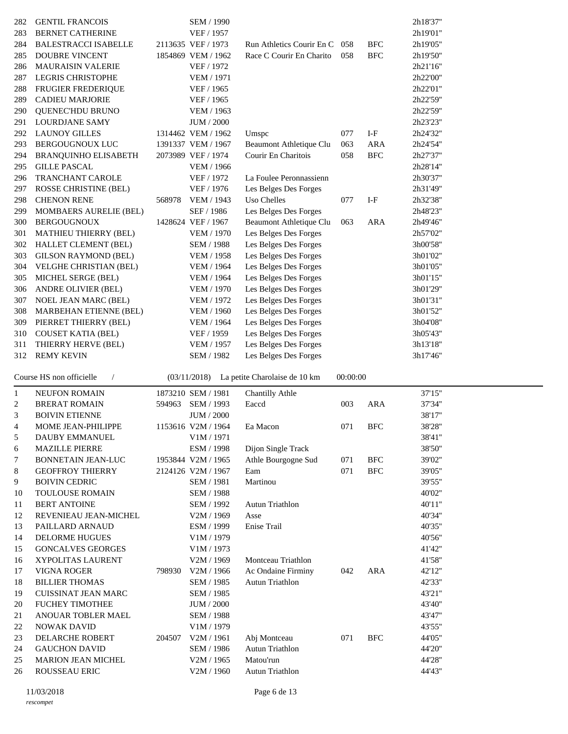| 282          | <b>GENTIL FRANCOIS</b>              |        | SEM / 1990               |                               |          |              | 2h18'37"         |
|--------------|-------------------------------------|--------|--------------------------|-------------------------------|----------|--------------|------------------|
| 283          | <b>BERNET CATHERINE</b>             |        | VEF / 1957               |                               |          |              | 2h19'01"         |
| 284          | <b>BALESTRACCI ISABELLE</b>         |        | 2113635 VEF / 1973       | Run Athletics Courir En C     | 058      | <b>BFC</b>   | 2h19'05"         |
| 285          | DOUBRE VINCENT                      |        | 1854869 VEM / 1962       | Race C Courir En Charito      | 058      | <b>BFC</b>   | 2h19'50"         |
| 286          | <b>MAURAISIN VALERIE</b>            |        | VEF / 1972               |                               |          |              | 2h21'16"         |
| 287          | LEGRIS CHRISTOPHE                   |        | <b>VEM / 1971</b>        |                               |          |              | 2h22'00"         |
| 288          | FRUGIER FREDERIQUE                  |        | VEF / 1965               |                               |          |              | 2h22'01"         |
| 289          | <b>CADIEU MARJORIE</b>              |        | VEF / 1965               |                               |          |              | 2h22'59"         |
| 290          | QUENEC'HDU BRUNO                    |        | VEM / 1963               |                               |          |              | 2h22'59"         |
| 291          | <b>LOURDJANE SAMY</b>               |        | JUM / 2000               |                               |          |              | 2h23'23"         |
| 292          | <b>LAUNOY GILLES</b>                |        | 1314462 VEM / 1962       | Umspc                         | 077      | $I-F$        | 2h24'32"         |
|              |                                     |        | 1391337 VEM / 1967       |                               |          |              | 2h24'54"         |
| 293          | BERGOUGNOUX LUC                     |        |                          | Beaumont Athletique Clu       | 063      | <b>ARA</b>   |                  |
| 294          | BRANQUINHO ELISABETH                |        | 2073989 VEF / 1974       | Courir En Charitois           | 058      | $_{\rm BFC}$ | 2h27'37"         |
| 295          | <b>GILLE PASCAL</b>                 |        | VEM / 1966               |                               |          |              | 2h28'14"         |
| 296          | <b>TRANCHANT CAROLE</b>             |        | VEF / 1972               | La Foulee Peronnassienn       |          |              | 2h30'37"         |
| 297          | <b>ROSSE CHRISTINE (BEL)</b>        |        | VEF / 1976               | Les Belges Des Forges         |          |              | 2h31'49"         |
| 298          | <b>CHENON RENE</b>                  | 568978 | <b>VEM / 1943</b>        | <b>Uso Chelles</b>            | 077      | $I-F$        | 2h32'38"         |
| 299          | MOMBAERS AURELIE (BEL)              |        | SEF / 1986               | Les Belges Des Forges         |          |              | 2h48'23"         |
| 300          | <b>BERGOUGNOUX</b>                  |        | 1428624 VEF / 1967       | Beaumont Athletique Clu       | 063      | <b>ARA</b>   | 2h49'46"         |
| 301          | MATHIEU THIERRY (BEL)               |        | <b>VEM / 1970</b>        | Les Belges Des Forges         |          |              | 2h57'02"         |
| 302          | HALLET CLEMENT (BEL)                |        | SEM / 1988               | Les Belges Des Forges         |          |              | 3h00'58"         |
| 303          | GILSON RAYMOND (BEL)                |        | <b>VEM / 1958</b>        | Les Belges Des Forges         |          |              | 3h01'02"         |
|              |                                     |        |                          |                               |          |              |                  |
| 304          | VELGHE CHRISTIAN (BEL)              |        | VEM / 1964               | Les Belges Des Forges         |          |              | 3h01'05"         |
| 305          | MICHEL SERGE (BEL)                  |        | VEM / 1964               | Les Belges Des Forges         |          |              | 3h01'15"         |
| 306          | ANDRE OLIVIER (BEL)                 |        | <b>VEM / 1970</b>        | Les Belges Des Forges         |          |              | 3h01'29"         |
| 307          | <b>NOEL JEAN MARC (BEL)</b>         |        | VEM / 1972               | Les Belges Des Forges         |          |              | 3h01'31"         |
| 308          | <b>MARBEHAN ETIENNE (BEL)</b>       |        | <b>VEM / 1960</b>        | Les Belges Des Forges         |          |              | 3h01'52"         |
| 309          | PIERRET THIERRY (BEL)               |        | VEM / 1964               | Les Belges Des Forges         |          |              | 3h04'08"         |
| 310          | <b>COUSET KATIA (BEL)</b>           |        | VEF / 1959               | Les Belges Des Forges         |          |              | 3h05'43"         |
|              |                                     |        |                          |                               |          |              |                  |
|              |                                     |        |                          |                               |          |              |                  |
| 311          | THIERRY HERVE (BEL)                 |        | VEM / 1957               | Les Belges Des Forges         |          |              | 3h13'18"         |
| 312          | <b>REMY KEVIN</b>                   |        | SEM / 1982               | Les Belges Des Forges         |          |              | 3h17'46"         |
|              | $\sqrt{2}$                          |        |                          |                               |          |              |                  |
|              | Course HS non officielle            |        | (03/11/2018)             | La petite Charolaise de 10 km | 00:00:00 |              |                  |
| $\mathbf{1}$ | <b>NEUFON ROMAIN</b>                |        | 1873210 SEM / 1981       | <b>Chantilly Athle</b>        |          |              | 37'15"           |
| 2            | <b>BRERAT ROMAIN</b>                | 594963 | SEM / 1993               | Eaccd                         | 003      | <b>ARA</b>   | 37'34"           |
| 3            | <b>BOIVIN ETIENNE</b>               |        | <b>JUM / 2000</b>        |                               |          |              | 38'17"           |
| 4            | <b>MOME JEAN-PHILIPPE</b>           |        | 1153616 V2M / 1964       | Ea Macon                      | 071      | <b>BFC</b>   | 38'28"           |
| 5            | DAUBY EMMANUEL                      |        | V1M / 1971               |                               |          |              | 38'41"           |
|              |                                     |        |                          |                               |          |              |                  |
| 6            | <b>MAZILLE PIERRE</b>               |        | ESM / 1998               | Dijon Single Track            |          |              | 38'50"           |
| 7            | <b>BONNETAIN JEAN-LUC</b>           |        | 1953844 V2M / 1965       | Athle Bourgogne Sud           | 071      | <b>BFC</b>   | 39'02"           |
| 8            | <b>GEOFFROY THIERRY</b>             |        | 2124126 V2M / 1967       | Eam                           | 071      | $_{\rm BFC}$ | 39'05"           |
| 9            | <b>BOIVIN CEDRIC</b>                |        | <b>SEM / 1981</b>        | Martinou                      |          |              | 39'55"           |
| 10           | TOULOUSE ROMAIN                     |        | SEM / 1988               |                               |          |              | 40'02"           |
| 11           | <b>BERT ANTOINE</b>                 |        | SEM / 1992               | <b>Autun Triathlon</b>        |          |              | 40'11"           |
| 12           | REVENIEAU JEAN-MICHEL               |        | V2M / 1969               | Asse                          |          |              | 40'34"           |
| 13           | PAILLARD ARNAUD                     |        | ESM / 1999               | Enise Trail                   |          |              | 40'35"           |
| 14           | <b>DELORME HUGUES</b>               |        | V1M / 1979               |                               |          |              | 40'56"           |
| 15           | <b>GONCALVES GEORGES</b>            |        | V1M / 1973               |                               |          |              | 41'42"           |
| 16           | XYPOLITAS LAURENT                   |        | V2M / 1969               | Montceau Triathlon            |          |              | 41'58"           |
| 17           | <b>VIGNA ROGER</b>                  | 798930 | V2M / 1966               | Ac Ondaine Firminy            | 042      | <b>ARA</b>   | 42'12"           |
|              |                                     |        |                          |                               |          |              |                  |
| 18           | <b>BILLIER THOMAS</b>               |        | SEM / 1985               | Autun Triathlon               |          |              | 42'33"           |
| 19           | CUISSINAT JEAN MARC                 |        | SEM / 1985               |                               |          |              | 43'21"           |
| 20           | <b>FUCHEY TIMOTHEE</b>              |        | <b>JUM / 2000</b>        |                               |          |              | 43'40"           |
| 21           | ANOUAR TOBLER MAEL                  |        | SEM / 1988               |                               |          |              | 43'47"           |
| 22           | <b>NOWAK DAVID</b>                  |        | V1M / 1979               |                               |          |              | 43'55"           |
| 23           | DELARCHE ROBERT                     | 204507 | V2M / 1961               | Abj Montceau                  | 071      | <b>BFC</b>   | 44'05"           |
| 24           | <b>GAUCHON DAVID</b>                |        | SEM / 1986               | Autun Triathlon               |          |              | 44'20"           |
| 25<br>26     | MARION JEAN MICHEL<br>ROUSSEAU ERIC |        | V2M / 1965<br>V2M / 1960 | Matou'run<br>Autun Triathlon  |          |              | 44'28"<br>44'43" |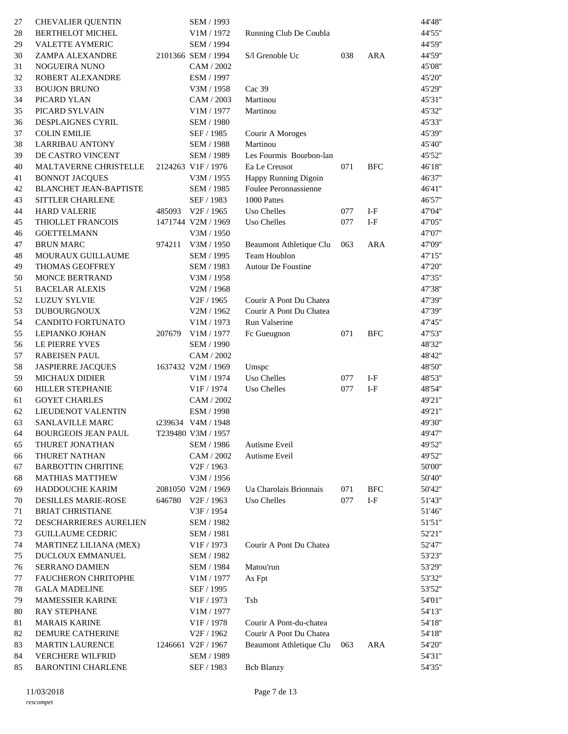| 27       | <b>CHEVALIER QUENTIN</b>                       |        | SEM / 1993                                       |                                                    |     |            | 44'48"           |
|----------|------------------------------------------------|--------|--------------------------------------------------|----------------------------------------------------|-----|------------|------------------|
| 28       | BERTHELOT MICHEL                               |        | V1M / 1972                                       | Running Club De Coubla                             |     |            | 44'55"           |
| 29       | <b>VALETTE AYMERIC</b>                         |        | SEM / 1994                                       |                                                    |     |            | 44'59"           |
| 30       | ZAMPA ALEXANDRE                                |        | 2101366 SEM / 1994                               | S/l Grenoble Uc                                    | 038 | <b>ARA</b> | 44'59"           |
| 31       | NOGUEIRA NUNO                                  |        | CAM / 2002                                       |                                                    |     |            | 45'08"           |
| 32       | ROBERT ALEXANDRE                               |        | ESM / 1997                                       |                                                    |     |            | 45'20"           |
| 33       | <b>BOUJON BRUNO</b>                            |        | V3M / 1958                                       | Cac 39                                             |     |            | 45'29"           |
| 34       | PICARD YLAN                                    |        | CAM / 2003                                       | Martinou                                           |     |            | 45'31"           |
| 35       | PICARD SYLVAIN                                 |        | V1M / 1977                                       | Martinou                                           |     |            | 45'32"           |
| 36       | DESPLAIGNES CYRIL                              |        | <b>SEM / 1980</b>                                |                                                    |     |            | 45'33"           |
| 37       | <b>COLIN EMILIE</b>                            |        | SEF / 1985                                       | Courir A Moroges                                   |     |            | 45'39"           |
| 38       | <b>LARRIBAU ANTONY</b>                         |        | SEM / 1988                                       | Martinou                                           |     |            | 45'40"           |
| 39       | DE CASTRO VINCENT                              |        | SEM / 1989                                       | Les Fourmis Bourbon-lan                            |     |            | 45'52"           |
| 40       | MALTAVERNE CHRISTELLE                          |        | 2124263 V1F/1976                                 | Ea Le Creusot                                      | 071 | <b>BFC</b> | 46'18"           |
| 41       | <b>BONNOT JACQUES</b>                          |        | V3M / 1955                                       | Happy Running Digoin                               |     |            | 46'37"           |
| 42       | BLANCHET JEAN-BAPTISTE                         |        | SEM / 1985                                       | Foulee Peronnassienne                              |     |            | 46'41"           |
| 43       | SITTLER CHARLENE                               |        | SEF / 1983                                       | 1000 Pattes                                        |     |            | 46'57"           |
| 44       | <b>HARD VALERIE</b>                            |        | 485093 V2F / 1965                                | Uso Chelles                                        | 077 | $I-F$      | 47'04"           |
| 45       | THIOLLET FRANCOIS                              |        | 1471744 V2M / 1969                               | Uso Chelles                                        | 077 | $I-F$      | 47'05"           |
| 46       | <b>GOETTELMANN</b>                             |        | V3M / 1950                                       |                                                    |     |            | 47'07"           |
| 47       | <b>BRUN MARC</b>                               | 974211 | V3M / 1950                                       | Beaumont Athletique Clu                            | 063 | <b>ARA</b> | 47'09"           |
| 48       | MOURAUX GUILLAUME                              |        | SEM / 1995                                       | Team Houblon                                       |     |            | 47'15"           |
| 49       | THOMAS GEOFFREY                                |        | SEM / 1983                                       | <b>Autour De Foustine</b>                          |     |            | 47'20"           |
|          |                                                |        |                                                  |                                                    |     |            |                  |
| 50       | MONCE BERTRAND                                 |        | V3M / 1958                                       |                                                    |     |            | 47'35"           |
| 51       | <b>BACELAR ALEXIS</b>                          |        | V2M / 1968<br>V2F / 1965                         | Courir A Pont Du Chatea                            |     |            | 47'38"           |
| 52       | <b>LUZUY SYLVIE</b>                            |        |                                                  | Courir A Pont Du Chatea                            |     |            | 47'39"<br>47'39" |
| 53       | <b>DUBOURGNOUX</b><br><b>CANDITO FORTUNATO</b> |        | V2M / 1962                                       |                                                    |     |            |                  |
| 54       |                                                | 207679 | V1M / 1973                                       | Run Valserine                                      | 071 | <b>BFC</b> | 47'45"           |
| 55<br>56 | LEPIANKO JOHAN<br>LE PIERRE YVES               |        | V1M / 1977<br><b>SEM / 1990</b>                  | Fc Gueugnon                                        |     |            | 47'53"<br>48'32" |
| 57       | RABEISEN PAUL                                  |        | CAM / 2002                                       |                                                    |     |            | 48'42"           |
| 58       | <b>JASPIERRE JACQUES</b>                       |        | 1637432 V2M / 1969                               | Umspc                                              |     |            | 48'50"           |
| 59       | <b>MICHAUX DIDIER</b>                          |        | V1M / 1974                                       | <b>Uso Chelles</b>                                 | 077 | $I-F$      | 48'53"           |
| 60       | HILLER STEPHANIE                               |        | V1F / 1974                                       | Uso Chelles                                        | 077 | $I-F$      | 48'54"           |
| 61       | <b>GOYET CHARLES</b>                           |        | CAM / 2002                                       |                                                    |     |            | 49'21"           |
| 62       | <b>LIEUDENOT VALENTIN</b>                      |        | ESM / 1998                                       |                                                    |     |            | 49'21"           |
|          | SANLAVILLE MARC                                |        | t239634 V4M / 1948                               |                                                    |     |            | 49'30"           |
| 63       |                                                |        |                                                  |                                                    |     |            |                  |
| 64       | <b>BOURGEOIS JEAN PAUL</b>                     |        | T239480 V3M / 1957                               |                                                    |     |            | 49'47"           |
| 65       | THURET JONATHAN                                |        | SEM / 1986                                       | Autisme Eveil                                      |     |            | 49'52"           |
| 66       | THURET NATHAN                                  |        | CAM / 2002                                       | Autisme Eveil                                      |     |            | 49'52"           |
| 67       | <b>BARBOTTIN CHRITINE</b>                      |        | V2F / 1963                                       |                                                    |     |            | 50'00"           |
| 68       | <b>MATHIAS MATTHEW</b>                         |        | V3M / 1956                                       |                                                    |     |            | 50'40"           |
| 69       | HADDOUCHE KARIM                                |        | 2081050 V2M / 1969                               | Ua Charolais Brionnais                             | 071 | <b>BFC</b> | 50'42"           |
| 70       | DESILLES MARIE-ROSE                            | 646780 | V <sub>2F</sub> / 1963                           | Uso Chelles                                        | 077 | $I-F$      | 51'43"           |
| 71       | <b>BRIAT CHRISTIANE</b>                        |        | V3F / 1954                                       |                                                    |     |            | 51'46"           |
| 72       | DESCHARRIERES AURELIEN                         |        | SEM / 1982                                       |                                                    |     |            | 51'51"           |
| 73       | <b>GUILLAUME CEDRIC</b>                        |        | <b>SEM / 1981</b>                                |                                                    |     |            | 52'21"           |
| 74       | MARTINEZ LILIANA (MEX)                         |        | V <sub>1F</sub> / 1973                           | Courir A Pont Du Chatea                            |     |            | 52'47"           |
| 75       | DUCLOUX EMMANUEL                               |        | SEM / 1982                                       |                                                    |     |            | 53'23"           |
| 76       | SERRANO DAMIEN                                 |        | SEM / 1984                                       | Matou'run                                          |     |            | 53'29"           |
| 77       | FAUCHERON CHRITOPHE                            |        | V1M / 1977                                       | As Fpt                                             |     |            | 53'32"           |
| 78       | <b>GALA MADELINE</b>                           |        | SEF / 1995                                       |                                                    |     |            | 53'52"           |
| 79       | MAMESSIER KARINE                               |        | V <sub>1F</sub> / 1973                           | Tsb                                                |     |            | 54'01"           |
| 80       | <b>RAY STEPHANE</b>                            |        | V1M / 1977                                       |                                                    |     |            | 54'13"           |
| 81       | <b>MARAIS KARINE</b><br>DEMURE CATHERINE       |        | V <sub>1F</sub> / 1978<br>V <sub>2F</sub> / 1962 | Courir A Pont-du-chatea<br>Courir A Pont Du Chatea |     |            | 54'18"<br>54'18" |
| 82<br>83 | <b>MARTIN LAURENCE</b>                         |        | 1246661 V2F / 1967                               | Beaumont Athletique Clu                            | 063 | <b>ARA</b> | 54'20"           |
| 84       | <b>VERCHERE WILFRID</b>                        |        | SEM / 1989                                       |                                                    |     |            | 54'31"           |
| 85       | <b>BARONTINI CHARLENE</b>                      |        | SEF / 1983                                       | <b>Bcb Blanzy</b>                                  |     |            | 54'35"           |
|          |                                                |        |                                                  |                                                    |     |            |                  |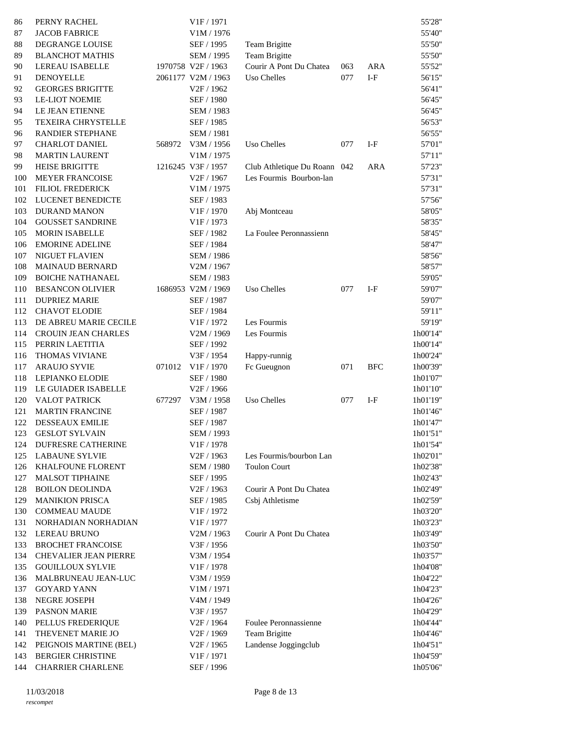| 86  | PERNY RACHEL                 |        | V1F / 1971             |                              |     |            | 55'28"   |
|-----|------------------------------|--------|------------------------|------------------------------|-----|------------|----------|
| 87  | <b>JACOB FABRICE</b>         |        | V1M / 1976             |                              |     |            | 55'40"   |
| 88  | DEGRANGE LOUISE              |        | SEF / 1995             | Team Brigitte                |     |            | 55'50"   |
| 89  | <b>BLANCHOT MATHIS</b>       |        | SEM / 1995             | Team Brigitte                |     |            | 55'50"   |
| 90  | <b>LEREAU ISABELLE</b>       |        | 1970758 V2F / 1963     | Courir A Pont Du Chatea      | 063 | ARA        | 55'52"   |
| 91  | DENOYELLE                    |        | 2061177 V2M / 1963     | Uso Chelles                  | 077 | $I-F$      | 56'15"   |
| 92  | <b>GEORGES BRIGITTE</b>      |        | V <sub>2F</sub> / 1962 |                              |     |            | 56'41"   |
| 93  | <b>LE-LIOT NOEMIE</b>        |        | SEF / 1980             |                              |     |            | 56'45"   |
| 94  | LE JEAN ETIENNE              |        | SEM / 1983             |                              |     |            | 56'45"   |
| 95  | <b>TEXEIRA CHRYSTELLE</b>    |        | SEF / 1985             |                              |     |            | 56'53"   |
| 96  | RANDIER STEPHANE             |        | <b>SEM / 1981</b>      |                              |     |            | 56'55"   |
| 97  | <b>CHARLOT DANIEL</b>        | 568972 | V3M / 1956             | Uso Chelles                  | 077 | $I-F$      | 57'01"   |
| 98  | <b>MARTIN LAURENT</b>        |        | V1M / 1975             |                              |     |            | 57'11"   |
| 99  | <b>HEISE BRIGITTE</b>        |        | 1216245 V3F / 1957     | Club Athletique Du Roann 042 |     | <b>ARA</b> | 57'23"   |
| 100 | MEYER FRANCOISE              |        | V <sub>2F</sub> / 1967 | Les Fourmis Bourbon-lan      |     |            | 57'31"   |
| 101 | <b>FILIOL FREDERICK</b>      |        | V1M / 1975             |                              |     |            | 57'31"   |
| 102 | <b>LUCENET BENEDICTE</b>     |        | SEF / 1983             |                              |     |            | 57'56"   |
| 103 | <b>DURAND MANON</b>          |        | V1F / 1970             | Abj Montceau                 |     |            | 58'05"   |
| 104 | <b>GOUSSET SANDRINE</b>      |        | V1F / 1973             |                              |     |            | 58'35"   |
| 105 | <b>MORIN ISABELLE</b>        |        | SEF / 1982             | La Foulee Peronnassienn      |     |            | 58'45"   |
| 106 | <b>EMORINE ADELINE</b>       |        | SEF / 1984             |                              |     |            | 58'47"   |
| 107 | <b>NIGUET FLAVIEN</b>        |        | SEM / 1986             |                              |     |            | 58'56"   |
| 108 | MAINAUD BERNARD              |        | V2M / 1967             |                              |     |            | 58'57"   |
| 109 | <b>BOICHE NATHANAEL</b>      |        | SEM / 1983             |                              |     |            | 59'05"   |
| 110 | <b>BESANCON OLIVIER</b>      |        | 1686953 V2M / 1969     | Uso Chelles                  | 077 | $I-F$      | 59'07"   |
| 111 | <b>DUPRIEZ MARIE</b>         |        | SEF / 1987             |                              |     |            | 59'07"   |
| 112 | <b>CHAVOT ELODIE</b>         |        | SEF / 1984             |                              |     |            | 59'11"   |
| 113 | DE ABREU MARIE CECILE        |        | V <sub>1F</sub> / 1972 | Les Fourmis                  |     |            | 59'19"   |
| 114 | <b>CROUIN JEAN CHARLES</b>   |        | V2M / 1969             | Les Fourmis                  |     |            | 1h00'14" |
| 115 | PERRIN LAETITIA              |        | SEF / 1992             |                              |     |            | 1h00'14" |
| 116 | THOMAS VIVIANE               |        | V3F / 1954             | Happy-runnig                 |     |            | 1h00'24" |
| 117 | <b>ARAUJO SYVIE</b>          | 071012 | V1F / 1970             | Fc Gueugnon                  | 071 | <b>BFC</b> | 1h00'39" |
| 118 | LEPIANKO ELODIE              |        | SEF / 1980             |                              |     |            | 1h01'07" |
| 119 | LE GUIADER ISABELLE          |        | V <sub>2F</sub> / 1966 |                              |     |            | 1h01'10" |
| 120 | VALOT PATRICK                | 677297 | V3M / 1958             | Uso Chelles                  | 077 | $I-F$      | 1h01'19" |
| 121 | <b>MARTIN FRANCINE</b>       |        | SEF / 1987             |                              |     |            | 1h01'46" |
| 122 | <b>DESSEAUX EMILIE</b>       |        | SEF / 1987             |                              |     |            | 1h01'47" |
| 123 | <b>GESLOT SYLVAIN</b>        |        | SEM / 1993             |                              |     |            | 1h01'51' |
| 124 | <b>DUFRESRE CATHERINE</b>    |        | V1F / 1978             |                              |     |            | 1h01'54" |
| 125 | <b>LABAUNE SYLVIE</b>        |        | V <sub>2F</sub> / 1963 | Les Fourmis/bourbon Lan      |     |            | 1h02'01" |
| 126 | KHALFOUNE FLORENT            |        | SEM / 1980             | <b>Toulon Court</b>          |     |            | 1h02'38" |
| 127 | <b>MALSOT TIPHAINE</b>       |        | SEF / 1995             |                              |     |            | 1h02'43" |
| 128 | <b>BOILON DEOLINDA</b>       |        | V2F / 1963             | Courir A Pont Du Chatea      |     |            | 1h02'49" |
| 129 | <b>MANIKION PRISCA</b>       |        | SEF / 1985             | Csbj Athletisme              |     |            | 1h02'59" |
| 130 | <b>COMMEAU MAUDE</b>         |        | V1F / 1972             |                              |     |            | 1h03'20" |
| 131 | NORHADIAN NORHADIAN          |        | V1F / 1977             |                              |     |            | 1h03'23" |
| 132 | <b>LEREAU BRUNO</b>          |        | V2M / 1963             | Courir A Pont Du Chatea      |     |            | 1h03'49" |
| 133 | <b>BROCHET FRANCOISE</b>     |        | V3F / 1956             |                              |     |            | 1h03'50" |
| 134 | <b>CHEVALIER JEAN PIERRE</b> |        | V3M / 1954             |                              |     |            | 1h03'57" |
| 135 | <b>GOUILLOUX SYLVIE</b>      |        | V1F / 1978             |                              |     |            | 1h04'08" |
| 136 | MALBRUNEAU JEAN-LUC          |        | V3M / 1959             |                              |     |            | 1h04'22" |
| 137 | <b>GOYARD YANN</b>           |        | V1M / 1971             |                              |     |            | 1h04'23" |
| 138 | NEGRE JOSEPH                 |        | V4M / 1949             |                              |     |            | 1h04'26" |
| 139 | <b>PASNON MARIE</b>          |        | V3F / 1957             |                              |     |            | 1h04'29" |
| 140 | PELLUS FREDERIQUE            |        | V <sub>2F</sub> / 1964 | Foulee Peronnassienne        |     |            | 1h04'44" |
| 141 | THEVENET MARIE JO            |        | V <sub>2F</sub> / 1969 | Team Brigitte                |     |            | 1h04'46" |
| 142 | PEIGNOIS MARTINE (BEL)       |        | V <sub>2F</sub> / 1965 | Landense Joggingclub         |     |            | 1h04'51" |
| 143 | <b>BERGIER CHRISTINE</b>     |        | V <sub>1F</sub> / 1971 |                              |     |            | 1h04'59" |
| 144 | <b>CHARRIER CHARLENE</b>     |        | SEF / 1996             |                              |     |            | 1h05'06" |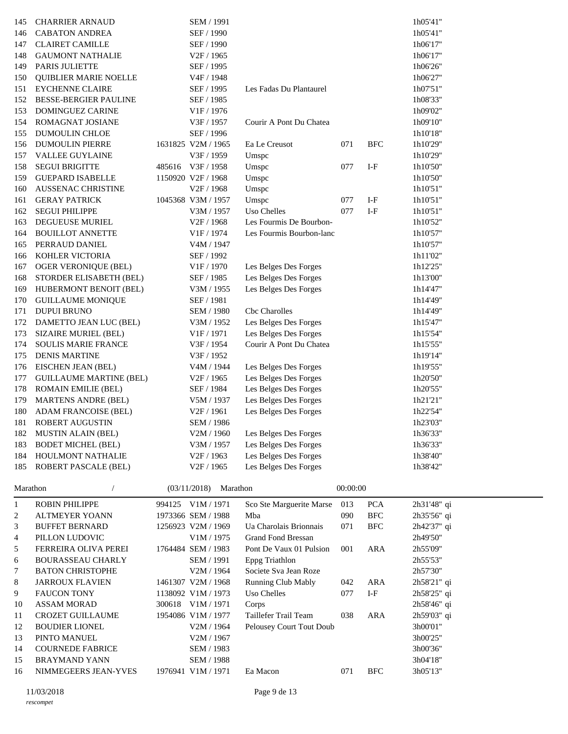| 145                     | <b>CHARRIER ARNAUD</b>         | SEM / 1991                           |                           |          |                           | 1h05'41"    |
|-------------------------|--------------------------------|--------------------------------------|---------------------------|----------|---------------------------|-------------|
| 146                     | <b>CABATON ANDREA</b>          | SEF / 1990                           |                           |          |                           | 1h05'41"    |
| 147                     | <b>CLAIRET CAMILLE</b>         | SEF / 1990                           |                           |          |                           | 1h06'17"    |
| 148                     | <b>GAUMONT NATHALIE</b>        | V <sub>2F</sub> / 1965               |                           |          |                           | 1h06'17"    |
| 149                     | PARIS JULIETTE                 | SEF / 1995                           |                           |          |                           | 1h06'26"    |
| 150                     | <b>QUIBLIER MARIE NOELLE</b>   | V <sub>4F</sub> / 1948               |                           |          |                           | 1h06'27"    |
| 151                     | <b>EYCHENNE CLAIRE</b>         | SEF / 1995                           | Les Fadas Du Plantaurel   |          |                           | 1h07'51"    |
| 152                     | <b>BESSE-BERGIER PAULINE</b>   | SEF / 1985                           |                           |          |                           | 1h08'33"    |
| 153                     | <b>DOMINGUEZ CARINE</b>        | V1F / 1976                           |                           |          |                           | 1h09'02"    |
| 154                     | ROMAGNAT JOSIANE               | V3F / 1957                           | Courir A Pont Du Chatea   |          |                           | 1h09'10"    |
| 155                     | DUMOULIN CHLOE                 | SEF / 1996                           |                           |          |                           | 1h10'18"    |
| 156                     | <b>DUMOULIN PIERRE</b>         | 1631825 V2M / 1965                   | Ea Le Creusot             | 071      | <b>BFC</b>                | 1h10'29"    |
| 157                     | <b>VALLEE GUYLAINE</b>         | V3F / 1959                           | Umspc                     |          |                           | 1h10'29"    |
| 158                     | <b>SEGUI BRIGITTE</b>          | 485616 V3F / 1958                    | Umspc                     | 077      | $I-F$                     | 1h10'50"    |
| 159                     | <b>GUEPARD ISABELLE</b>        | 1150920 V2F / 1968                   | Umspc                     |          |                           | 1h10'50"    |
| 160                     | <b>AUSSENAC CHRISTINE</b>      | V <sub>2F</sub> / 1968               | Umspc                     |          |                           | 1h10'51"    |
| 161                     | <b>GERAY PATRICK</b>           | 1045368 V3M / 1957                   | Umspc                     | 077      | $I-F$                     | 1h10'51"    |
| 162                     | <b>SEGUI PHILIPPE</b>          | V3M / 1957                           | Uso Chelles               | 077      | $I-F$                     | 1h10'51"    |
| 163                     | <b>DEGUEUSE MURIEL</b>         | V <sub>2F</sub> / 1968               | Les Fourmis De Bourbon-   |          |                           | 1h10'52"    |
| 164                     | <b>BOUILLOT ANNETTE</b>        | V1F / 1974                           | Les Fourmis Bourbon-lanc  |          |                           | 1h10'57"    |
| 165                     | PERRAUD DANIEL                 | V4M / 1947                           |                           |          |                           | 1h10'57"    |
| 166                     | KOHLER VICTORIA                | SEF / 1992                           |                           |          |                           | 1h11'02"    |
| 167                     | <b>OGER VERONIQUE (BEL)</b>    | V1F / 1970                           | Les Belges Des Forges     |          |                           | 1h12'25"    |
| 168                     | STORDER ELISABETH (BEL)        | SEF / 1985                           | Les Belges Des Forges     |          |                           | 1h13'00"    |
| 169                     | HUBERMONT BENOIT (BEL)         | V3M / 1955                           | Les Belges Des Forges     |          |                           | 1h14'47"    |
| 170                     | <b>GUILLAUME MONIQUE</b>       | SEF / 1981                           |                           |          |                           | 1h14'49"    |
| 171                     | <b>DUPUI BRUNO</b>             | <b>SEM / 1980</b>                    | Cbc Charolles             |          |                           | 1h14'49"    |
| 172                     | DAMETTO JEAN LUC (BEL)         | V3M / 1952                           | Les Belges Des Forges     |          |                           | 1h15'47"    |
| 173                     | SIZAIRE MURIEL (BEL)           | V <sub>1F</sub> / 1971               | Les Belges Des Forges     |          |                           | 1h15'54"    |
| 174                     | <b>SOULIS MARIE FRANCE</b>     | V3F / 1954                           | Courir A Pont Du Chatea   |          |                           | 1h15'55"    |
| 175                     | <b>DENIS MARTINE</b>           | V3F / 1952                           |                           |          |                           | 1h19'14"    |
| 176                     | EISCHEN JEAN (BEL)             | V4M / 1944                           | Les Belges Des Forges     |          |                           | 1h19'55"    |
| 177                     | <b>GUILLAUME MARTINE (BEL)</b> | V <sub>2F</sub> / 1965               | Les Belges Des Forges     |          |                           | 1h20'50"    |
| 178                     | <b>ROMAIN EMILIE (BEL)</b>     | SEF / 1984                           | Les Belges Des Forges     |          |                           | 1h20'55"    |
| 179                     | <b>MARTENS ANDRE (BEL)</b>     | V5M / 1937                           | Les Belges Des Forges     |          |                           | 1h21'21"    |
| 180                     | ADAM FRANCOISE (BEL)           | V <sub>2F</sub> / 1961               | Les Belges Des Forges     |          |                           | 1h22'54"    |
| 181                     | <b>ROBERT AUGUSTIN</b>         | SEM / 1986                           |                           |          |                           | 1h23'03"    |
|                         | MUSTIN ALAIN (BEL)             | V2M / 1960                           | Les Belges Des Forges     |          |                           | 1h36'33"    |
| 182<br>183              | <b>BODET MICHEL (BEL)</b>      |                                      | Les Belges Des Forges     |          |                           | 1h36'33"    |
| 184                     | HOULMONT NATHALIE              | V3M / 1957<br>V <sub>2F</sub> / 1963 | Les Belges Des Forges     |          |                           | 1h38'40"    |
| 185                     |                                | V <sub>2F</sub> / 1965               | Les Belges Des Forges     |          |                           | 1h38'42"    |
|                         | <b>ROBERT PASCALE (BEL)</b>    |                                      |                           |          |                           |             |
| Marathon                | $\sqrt{2}$                     | (03/11/2018)<br>Marathon             |                           | 00:00:00 |                           |             |
| $\mathbf{1}$            | <b>ROBIN PHILIPPE</b>          | 994125 V1M / 1971                    | Sco Ste Marguerite Marse  | 013      | <b>PCA</b>                | 2h31'48" qi |
| $\overline{\mathbf{c}}$ | <b>ALTMEYER YOANN</b>          | 1973366 SEM / 1988                   | Mba                       | 090      | <b>BFC</b>                | 2h35'56" qi |
| 3                       | <b>BUFFET BERNARD</b>          | 1256923 V2M / 1969                   | Ua Charolais Brionnais    | 071      | <b>BFC</b>                | 2h42'37" qi |
| $\overline{4}$          | PILLON LUDOVIC                 | V1M / 1975                           | <b>Grand Fond Bressan</b> |          |                           | 2h49'50"    |
| 5                       | FERREIRA OLIVA PEREI           | 1764484 SEM / 1983                   | Pont De Vaux 01 Pulsion   | 001      | ARA                       | 2h55'09"    |
| 6                       | <b>BOURASSEAU CHARLY</b>       | SEM / 1991                           | Eppg Triathlon            |          |                           | 2h55'53"    |
| 7                       | <b>BATON CHRISTOPHE</b>        | V2M / 1964                           | Societe Sva Jean Roze     |          |                           | 2h57'30"    |
| 8                       | <b>JARROUX FLAVIEN</b>         | 1461307 V2M / 1968                   | Running Club Mably        | 042      | <b>ARA</b>                | 2h58'21" qi |
| 9                       | <b>FAUCON TONY</b>             | 1138092 V1M / 1973                   | Uso Chelles               | 077      | $\ensuremath{\text{I-F}}$ | 2h58'25" qi |
| 10                      | <b>ASSAM MORAD</b>             | 300618 V1M / 1971                    | Corps                     |          |                           | 2h58'46" qi |
| 11                      | <b>CROZET GUILLAUME</b>        | 1954086 V1M / 1977                   | Taillefer Trail Team      | 038      | <b>ARA</b>                | 2h59'03" qi |
| 12                      | <b>BOUDIER LIONEL</b>          | V2M / 1964                           | Pelousey Court Tout Doub  |          |                           | 3h00'01"    |
| 13                      | PINTO MANUEL                   | V2M / 1967                           |                           |          |                           | 3h00'25"    |
| 14                      | <b>COURNEDE FABRICE</b>        | SEM / 1983                           |                           |          |                           | 3h00'36"    |
| 15                      | <b>BRAYMAND YANN</b>           | SEM / 1988                           |                           |          |                           | 3h04'18"    |
| 16                      | NIMMEGEERS JEAN-YVES           | 1976941 V1M / 1971                   | Ea Macon                  | 071      | <b>BFC</b>                | 3h05'13"    |
|                         |                                |                                      |                           |          |                           |             |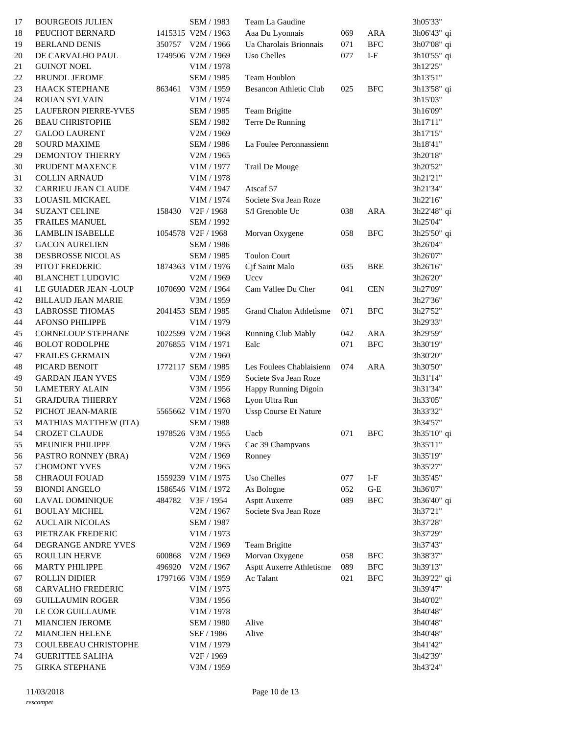| 17 | <b>BOURGEOIS JULIEN</b>                     |        | SEM / 1983                       | Team La Gaudine               |         |                      | 3h05'33"             |
|----|---------------------------------------------|--------|----------------------------------|-------------------------------|---------|----------------------|----------------------|
| 18 | PEUCHOT BERNARD                             |        | 1415315 V2M / 1963               | Aaa Du Lyonnais               | 069     | <b>ARA</b>           | 3h06'43" qi          |
| 19 | <b>BERLAND DENIS</b>                        |        | 350757 V2M / 1966                | Ua Charolais Brionnais        | 071     | <b>BFC</b>           | 3h07'08" qi          |
| 20 | DE CARVALHO PAUL                            |        | 1749506 V2M / 1969               | Uso Chelles                   | 077     | $I-F$                | 3h10'55" qi          |
| 21 | <b>GUINOT NOEL</b>                          |        | $\rm{V1}M$ / 1978                |                               |         |                      | 3h12'25"             |
| 22 | <b>BRUNOL JEROME</b>                        |        | SEM / 1985                       | Team Houblon                  |         |                      | 3h13'51"             |
| 23 | HAACK STEPHANE                              | 863461 | V3M / 1959                       | <b>Besancon Athletic Club</b> | 025     | <b>BFC</b>           | 3h13'58" qi          |
| 24 | ROUAN SYLVAIN                               |        | V1M / 1974                       |                               |         |                      | 3h15'03"             |
| 25 | <b>LAUFERON PIERRE-YVES</b>                 |        | SEM / 1985                       | Team Brigitte                 |         |                      | 3h16'09"             |
| 26 | <b>BEAU CHRISTOPHE</b>                      |        | SEM / 1982                       | Terre De Running              |         |                      | 3h17'11"             |
| 27 | <b>GALOO LAURENT</b>                        |        | V2M / 1969                       |                               |         |                      | 3h17'15"             |
| 28 | <b>SOURD MAXIME</b>                         |        | SEM / 1986                       | La Foulee Peronnassienn       |         |                      | 3h18'41"             |
| 29 | DEMONTOY THIERRY                            |        | V2M / 1965                       |                               |         |                      | 3h20'18"             |
| 30 | PRUDENT MAXENCE                             |        | V1M / 1977                       | Trail De Mouge                |         |                      | 3h20'52"             |
| 31 | <b>COLLIN ARNAUD</b>                        |        | V1M / 1978                       |                               |         |                      | 3h21'21"             |
| 32 | CARRIEU JEAN CLAUDE                         |        | V4M / 1947                       | Atscaf 57                     |         |                      | 3h21'34"             |
| 33 | LOUASIL MICKAEL                             |        | V1M / 1974                       | Societe Sva Jean Roze         |         |                      | 3h22'16"             |
| 34 | <b>SUZANT CELINE</b>                        | 158430 | V <sub>2F</sub> / 1968           | S/l Grenoble Uc               | 038     | <b>ARA</b>           | 3h22'48" qi          |
| 35 | FRAILES MANUEL                              |        | SEM / 1992                       |                               |         |                      | 3h25'04"             |
| 36 | <b>LAMBLIN ISABELLE</b>                     |        | 1054578 V2F / 1968               | Morvan Oxygene                | 058     | <b>BFC</b>           | 3h25'50" qi          |
| 37 | <b>GACON AURELIEN</b>                       |        | SEM / 1986                       |                               |         |                      | 3h26'04"             |
| 38 | DESBROSSE NICOLAS                           |        | SEM / 1985                       | <b>Toulon Court</b>           |         |                      | 3h26'07"             |
| 39 | PITOT FREDERIC                              |        | 1874363 V1M / 1976               | Cjf Saint Malo                | 035     | <b>BRE</b>           | 3h26'16"             |
| 40 | <b>BLANCHET LUDOVIC</b>                     |        | V2M / 1969                       | Uccv                          |         |                      | 3h26'20"             |
| 41 | LE GUIADER JEAN -LOUP                       |        | 1070690 V2M / 1964               | Cam Vallee Du Cher            | 041     | <b>CEN</b>           | 3h27'09"             |
| 42 | <b>BILLAUD JEAN MARIE</b>                   |        | V3M / 1959                       |                               |         |                      | 3h27'36"             |
| 43 | <b>LABROSSE THOMAS</b>                      |        | 2041453 SEM / 1985               | Grand Chalon Athletisme       | 071     | ${\rm BFC}$          | 3h27'52"             |
| 44 | <b>AFONSO PHILIPPE</b>                      |        | V1M / 1979                       |                               |         |                      | 3h29'33"             |
| 45 | <b>CORNELOUP STEPHANE</b>                   |        | 1022599 V2M / 1968               | Running Club Mably            | 042     | <b>ARA</b>           | 3h29'59"             |
| 46 | <b>BOLOT RODOLPHE</b>                       |        | 2076855 V1M / 1971               | Ealc                          | 071     | <b>BFC</b>           | 3h30'19"             |
| 47 | FRAILES GERMAIN                             |        | V2M / 1960                       |                               |         |                      | 3h30'20"             |
| 48 | PICARD BENOIT                               |        | 1772117 SEM / 1985               | Les Foulees Chablaisienn      | 074     | <b>ARA</b>           | 3h30'50"             |
| 49 | <b>GARDAN JEAN YVES</b>                     |        | V3M / 1959                       | Societe Sva Jean Roze         |         |                      | 3h31'14"             |
| 50 | <b>LAMETERY ALAIN</b>                       |        | V3M / 1956                       | Happy Running Digoin          |         |                      | 3h31'34"             |
| 51 | <b>GRAJDURA THIERRY</b>                     |        | V2M / 1968                       | Lyon Ultra Run                |         |                      | 3h33'05"             |
| 52 | PICHOT JEAN-MARIE                           |        | 5565662 V1M / 1970               | <b>Ussp Course Et Nature</b>  |         |                      | 3h33'32"             |
| 53 | <b>MATHIAS MATTHEW (ITA)</b>                |        | SEM / 1988                       |                               |         |                      | 3h34'57"             |
| 54 |                                             |        | 1978526 V3M / 1955               |                               | 071 BFC |                      | 3h35'10" qi          |
|    | CROZET CLAUDE                               |        |                                  | Uacb                          |         |                      | 3h35'11"             |
| 55 | MEUNIER PHILIPPE                            |        | V2M / 1965                       | Cac 39 Champvans              |         |                      |                      |
| 56 | PASTRO RONNEY (BRA)                         |        | V2M / 1969                       | Ronney                        |         |                      | 3h35'19"<br>3h35'27" |
| 57 | <b>CHOMONT YVES</b><br><b>CHRAOUI FOUAD</b> |        | V2M / 1965<br>1559239 V1M / 1975 | Uso Chelles                   | 077     |                      |                      |
| 58 |                                             |        |                                  |                               |         | $I-F$                | 3h35'45"             |
| 59 | <b>BIONDI ANGELO</b>                        |        | 1586546 V1M / 1972               | As Bologne                    | 052     | $\operatorname{G-E}$ | 3h36'07"             |
| 60 | LAVAL DOMINIQUE                             |        | 484782 V3F / 1954                | <b>Asptt Auxerre</b>          | 089     | <b>BFC</b>           | 3h36'40" qi          |
| 61 | <b>BOULAY MICHEL</b>                        |        | V2M / 1967                       | Societe Sva Jean Roze         |         |                      | 3h37'21"             |
| 62 | <b>AUCLAIR NICOLAS</b>                      |        | <b>SEM / 1987</b>                |                               |         |                      | 3h37'28"             |
| 63 | PIETRZAK FREDERIC                           |        | V1M / 1973                       |                               |         |                      | 3h37'29"             |
| 64 | DEGRANGE ANDRE YVES                         |        | V2M / 1969                       | Team Brigitte                 |         |                      | 3h37'43"             |
| 65 | ROULLIN HERVE                               | 600868 | V2M / 1969                       | Morvan Oxygene                | 058     | <b>BFC</b>           | 3h38'37"             |
| 66 | <b>MARTY PHILIPPE</b>                       | 496920 | V2M / 1967                       | Asptt Auxerre Athletisme      | 089     | <b>BFC</b>           | 3h39'13"             |
| 67 | <b>ROLLIN DIDIER</b>                        |        | 1797166 V3M / 1959               | Ac Talant                     | 021     | <b>BFC</b>           | 3h39'22" qi          |
| 68 | CARVALHO FREDERIC                           |        | V1M / 1975                       |                               |         |                      | 3h39'47"             |
| 69 | <b>GUILLAUMIN ROGER</b>                     |        | V3M / 1956                       |                               |         |                      | 3h40'02"             |
| 70 | LE COR GUILLAUME                            |        | V1M / 1978                       |                               |         |                      | 3h40'48"             |
| 71 | <b>MIANCIEN JEROME</b>                      |        | SEM / 1980                       | Alive                         |         |                      | 3h40'48"             |
| 72 | <b>MIANCIEN HELENE</b>                      |        | SEF / 1986                       | Alive                         |         |                      | 3h40'48"             |
| 73 | COULEBEAU CHRISTOPHE                        |        | V1M / 1979                       |                               |         |                      | 3h41'42"             |
| 74 | <b>GUERITTEE SALIHA</b>                     |        | V <sub>2F</sub> / 1969           |                               |         |                      | 3h42'39"             |
| 75 | <b>GIRKA STEPHANE</b>                       |        | V3M / 1959                       |                               |         |                      | 3h43'24"             |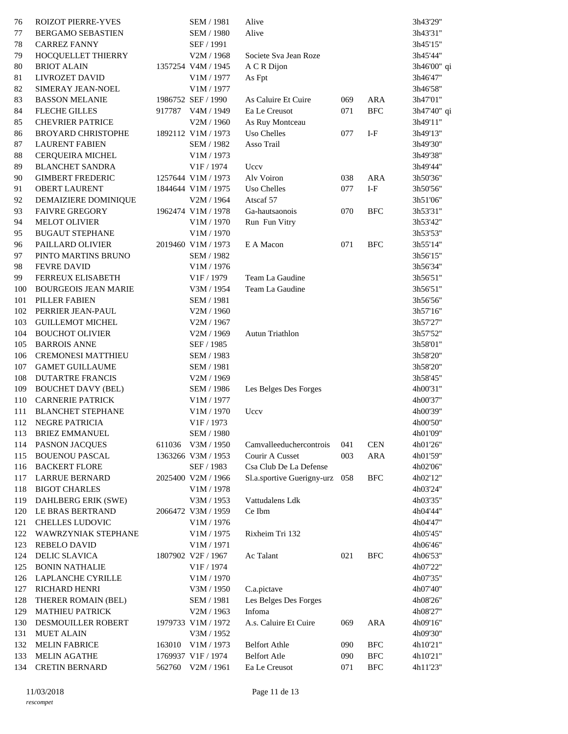| 76  | <b>ROIZOT PIERRE-YVES</b>   | SEM / 1981             | Alive                      |     |            | 3h43'29"    |
|-----|-----------------------------|------------------------|----------------------------|-----|------------|-------------|
| 77  | BERGAMO SEBASTIEN           | SEM / 1980             | Alive                      |     |            | 3h43'31"    |
| 78  | <b>CARREZ FANNY</b>         | SEF / 1991             |                            |     |            | 3h45'15"    |
| 79  | HOCQUELLET THIERRY          | V2M / 1968             | Societe Sva Jean Roze      |     |            | 3h45'44"    |
| 80  | <b>BRIOT ALAIN</b>          | 1357254 V4M / 1945     | A C R Dijon                |     |            | 3h46'00" qi |
| 81  | <b>LIVROZET DAVID</b>       | V1M / 1977             | As Fpt                     |     |            | 3h46'47"    |
| 82  | SIMERAY JEAN-NOEL           | V1M / 1977             |                            |     |            | 3h46'58"    |
| 83  | <b>BASSON MELANIE</b>       | 1986752 SEF / 1990     | As Caluire Et Cuire        | 069 | <b>ARA</b> | 3h47'01"    |
|     |                             | 917787 V4M / 1949      | Ea Le Creusot              | 071 | <b>BFC</b> |             |
| 84  | <b>FLECHE GILLES</b>        |                        |                            |     |            | 3h47'40" qi |
| 85  | <b>CHEVRIER PATRICE</b>     | V2M / 1960             | As Ruy Montceau            |     |            | 3h49'11"    |
| 86  | <b>BROYARD CHRISTOPHE</b>   | 1892112 V1M / 1973     | Uso Chelles                | 077 | $I-F$      | 3h49'13"    |
| 87  | <b>LAURENT FABIEN</b>       | SEM / 1982             | Asso Trail                 |     |            | 3h49'30"    |
| 88  | <b>CERQUEIRA MICHEL</b>     | V1M / 1973             |                            |     |            | 3h49'38"    |
| 89  | <b>BLANCHET SANDRA</b>      | V1F / 1974             | Uccv                       |     |            | 3h49'44"    |
| 90  | <b>GIMBERT FREDERIC</b>     | 1257644 V1M / 1973     | Alv Voiron                 | 038 | <b>ARA</b> | 3h50'36"    |
| 91  | <b>OBERT LAURENT</b>        | 1844644 V1M / 1975     | Uso Chelles                | 077 | $I-F$      | 3h50'56"    |
| 92  | DEMAIZIERE DOMINIQUE        | V2M / 1964             | Atscaf 57                  |     |            | 3h51'06"    |
| 93  | <b>FAIVRE GREGORY</b>       | 1962474 V1M / 1978     | Ga-hautsaonois             | 070 | <b>BFC</b> | 3h53'31"    |
| 94  | <b>MELOT OLIVIER</b>        | V1M / 1970             | Run Fun Vitry              |     |            | 3h53'42"    |
| 95  | <b>BUGAUT STEPHANE</b>      | V1M / 1970             |                            |     |            | 3h53'53"    |
| 96  | PAILLARD OLIVIER            | 2019460 V1M / 1973     | E A Macon                  | 071 | <b>BFC</b> | 3h55'14"    |
| 97  | PINTO MARTINS BRUNO         | SEM / 1982             |                            |     |            | 3h56'15"    |
| 98  | <b>FEVRE DAVID</b>          | V1M / 1976             |                            |     |            | 3h56'34"    |
| 99  | FERREUX ELISABETH           | V <sub>1F</sub> / 1979 | Team La Gaudine            |     |            | 3h56'51"    |
| 100 | <b>BOURGEOIS JEAN MARIE</b> | V3M / 1954             | Team La Gaudine            |     |            | 3h56'51"    |
| 101 | PILLER FABIEN               | SEM / 1981             |                            |     |            | 3h56'56"    |
| 102 | PERRIER JEAN-PAUL           | V2M / 1960             |                            |     |            | 3h57'16"    |
| 103 | <b>GUILLEMOT MICHEL</b>     | V2M / 1967             |                            |     |            |             |
|     |                             |                        | Autun Triathlon            |     |            | 3h57'27"    |
| 104 | <b>BOUCHOT OLIVIER</b>      | V2M / 1969             |                            |     |            | 3h57'52"    |
| 105 | <b>BARROIS ANNE</b>         | SEF / 1985             |                            |     |            | 3h58'01"    |
| 106 | <b>CREMONESI MATTHIEU</b>   | SEM / 1983             |                            |     |            | 3h58'20"    |
| 107 | <b>GAMET GUILLAUME</b>      | SEM / 1981             |                            |     |            | 3h58'20"    |
| 108 | <b>DUTARTRE FRANCIS</b>     | V2M / 1969             |                            |     |            | 3h58'45"    |
| 109 | <b>BOUCHET DAVY (BEL)</b>   | SEM / 1986             | Les Belges Des Forges      |     |            | 4h00'31"    |
| 110 | <b>CARNERIE PATRICK</b>     | V1M / 1977             |                            |     |            | 4h00'37"    |
| 111 | <b>BLANCHET STEPHANE</b>    | V1M / 1970             | Uccv                       |     |            | 4h00'39"    |
|     | 112 NEGRE PATRICIA          | V1F / 1973             |                            |     |            | 4h00'50"    |
|     | 113 BRIEZ EMMANUEL          | SEM / 1980             |                            |     |            | 4h01'09"    |
| 114 | <b>PASNON JACQUES</b>       | 611036 V3M / 1950      | Camvalleeduchercontrois    | 041 | <b>CEN</b> | 4h01'26"    |
| 115 | <b>BOUENOU PASCAL</b>       | 1363266 V3M / 1953     | Courir A Cusset            | 003 | <b>ARA</b> | 4h01'59"    |
| 116 | <b>BACKERT FLORE</b>        | SEF / 1983             | Csa Club De La Defense     |     |            | 4h02'06"    |
| 117 | <b>LARRUE BERNARD</b>       | 2025400 V2M / 1966     | Sl.a.sportive Guerigny-urz | 058 | <b>BFC</b> | 4h02'12"    |
| 118 | <b>BIGOT CHARLES</b>        | V1M / 1978             |                            |     |            | 4h03'24"    |
| 119 | DAHLBERG ERIK (SWE)         | V3M / 1953             | Vattudalens Ldk            |     |            | 4h03'35"    |
| 120 | LE BRAS BERTRAND            | 2066472 V3M / 1959     | Ce Ibm                     |     |            | 4h04'44"    |
| 121 | CHELLES LUDOVIC             | V1M / 1976             |                            |     |            | 4h04'47"    |
| 122 | WAWRZYNIAK STEPHANE         | V1M / 1975             | Rixheim Tri 132            |     |            | 4h05'45"    |
| 123 | <b>REBELO DAVID</b>         | V1M / 1971             |                            |     |            | 4h06'46"    |
| 124 | <b>DELIC SLAVICA</b>        | 1807902 V2F / 1967     | Ac Talant                  | 021 | <b>BFC</b> |             |
|     |                             |                        |                            |     |            | 4h06'53"    |
| 125 | <b>BONIN NATHALIE</b>       | V1F / 1974             |                            |     |            | 4h07'22"    |
| 126 | LAPLANCHE CYRILLE           | V1M / 1970             |                            |     |            | 4h07'35"    |
| 127 | RICHARD HENRI               | V3M / 1950             | C.a.pictave                |     |            | 4h07'40"    |
| 128 | THERER ROMAIN (BEL)         | <b>SEM / 1981</b>      | Les Belges Des Forges      |     |            | 4h08'26"    |
| 129 | <b>MATHIEU PATRICK</b>      | V2M / 1963             | Infoma                     |     |            | 4h08'27"    |
| 130 | DESMOUILLER ROBERT          | 1979733 V1M / 1972     | A.s. Caluire Et Cuire      | 069 | <b>ARA</b> | 4h09'16"    |
| 131 | <b>MUET ALAIN</b>           | V3M / 1952             |                            |     |            | 4h09'30"    |
| 132 | <b>MELIN FABRICE</b>        | 163010 V1M/1973        | <b>Belfort Athle</b>       | 090 | <b>BFC</b> | 4h10'21"    |
| 133 | <b>MELIN AGATHE</b>         | 1769937 V1F / 1974     | <b>Belfort Atle</b>        | 090 | <b>BFC</b> | 4h10'21"    |
| 134 | <b>CRETIN BERNARD</b>       | 562760 V2M / 1961      | Ea Le Creusot              | 071 | <b>BFC</b> | 4h11'23"    |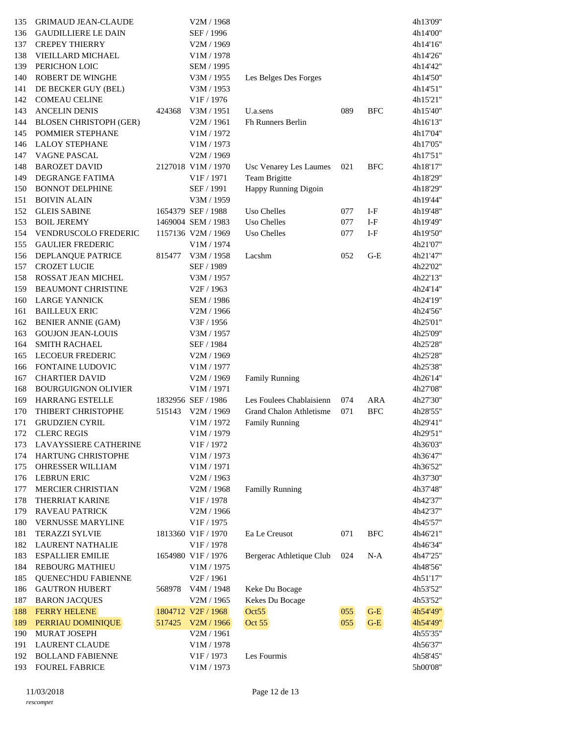| 135 | <b>GRIMAUD JEAN-CLAUDE</b>    |        | V2M / 1968             |                                |     |            | 4h13'09" |
|-----|-------------------------------|--------|------------------------|--------------------------------|-----|------------|----------|
| 136 | <b>GAUDILLIERE LE DAIN</b>    |        | SEF / 1996             |                                |     |            | 4h14'00" |
| 137 | <b>CREPEY THIERRY</b>         |        | V2M / 1969             |                                |     |            | 4h14'16" |
| 138 | VIEILLARD MICHAEL             |        | V1M / 1978             |                                |     |            | 4h14'26" |
| 139 | PERICHON LOIC                 |        | SEM / 1995             |                                |     |            | 4h14'42" |
| 140 | <b>ROBERT DE WINGHE</b>       |        | V3M / 1955             | Les Belges Des Forges          |     |            | 4h14'50" |
| 141 | DE BECKER GUY (BEL)           |        | V3M / 1953             |                                |     |            | 4h14'51" |
| 142 | <b>COMEAU CELINE</b>          |        | V1F / 1976             |                                |     |            | 4h15'21" |
| 143 | <b>ANCELIN DENIS</b>          | 424368 | V3M / 1951             | U.a.sens                       | 089 | <b>BFC</b> | 4h15'40" |
| 144 | <b>BLOSEN CHRISTOPH (GER)</b> |        | V2M / 1961             | <b>Fh Runners Berlin</b>       |     |            | 4h16'13" |
| 145 | POMMIER STEPHANE              |        | V1M / 1972             |                                |     |            | 4h17'04" |
| 146 | <b>LALOY STEPHANE</b>         |        | V1M / 1973             |                                |     |            | 4h17'05" |
| 147 | VAGNE PASCAL                  |        | V2M / 1969             |                                |     |            | 4h17'51" |
| 148 | <b>BAROZET DAVID</b>          |        | 2127018 V1M / 1970     | Usc Venarey Les Laumes         | 021 | <b>BFC</b> | 4h18'17" |
| 149 | DEGRANGE FATIMA               |        | V <sub>1F</sub> / 1971 | Team Brigitte                  |     |            | 4h18'29" |
| 150 | <b>BONNOT DELPHINE</b>        |        | SEF / 1991             | Happy Running Digoin           |     |            | 4h18'29" |
| 151 | <b>BOIVIN ALAIN</b>           |        | V3M / 1959             |                                |     |            | 4h19'44" |
| 152 | <b>GLEIS SABINE</b>           |        | 1654379 SEF / 1988     | Uso Chelles                    | 077 | $I-F$      | 4h19'48" |
| 153 | <b>BOIL JEREMY</b>            |        | 1469004 SEM / 1983     | Uso Chelles                    | 077 | $I-F$      | 4h19'49" |
| 154 | <b>VENDRUSCOLO FREDERIC</b>   |        | 1157136 V2M / 1969     | Uso Chelles                    | 077 | $I-F$      | 4h19'50" |
| 155 | <b>GAULIER FREDERIC</b>       |        | V1M / 1974             |                                |     |            | 4h21'07" |
| 156 | DEPLANQUE PATRICE             | 815477 | V3M / 1958             | Lacshm                         | 052 | $G-E$      | 4h21'47" |
| 157 | <b>CROZET LUCIE</b>           |        | SEF / 1989             |                                |     |            | 4h22'02" |
| 158 | ROSSAT JEAN MICHEL            |        | V3M / 1957             |                                |     |            | 4h22'13" |
| 159 | <b>BEAUMONT CHRISTINE</b>     |        | V <sub>2F</sub> / 1963 |                                |     |            | 4h24'14" |
| 160 | <b>LARGE YANNICK</b>          |        | SEM / 1986             |                                |     |            | 4h24'19" |
| 161 | <b>BAILLEUX ERIC</b>          |        | V2M / 1966             |                                |     |            | 4h24'56" |
| 162 | <b>BENIER ANNIE (GAM)</b>     |        | V3F / 1956             |                                |     |            | 4h25'01" |
| 163 | <b>GOUJON JEAN-LOUIS</b>      |        | V3M / 1957             |                                |     |            | 4h25'09" |
| 164 | <b>SMITH RACHAEL</b>          |        | SEF / 1984             |                                |     |            | 4h25'28" |
| 165 | <b>LECOEUR FREDERIC</b>       |        | V2M / 1969             |                                |     |            | 4h25'28" |
| 166 | FONTAINE LUDOVIC              |        | V1M / 1977             |                                |     |            | 4h25'38" |
| 167 | <b>CHARTIER DAVID</b>         |        | V2M / 1969             | <b>Family Running</b>          |     |            | 4h26'14" |
| 168 | <b>BOURGUIGNON OLIVIER</b>    |        | V1M / 1971             |                                |     |            | 4h27'08" |
| 169 | HARRANG ESTELLE               |        | 1832956 SEF / 1986     | Les Foulees Chablaisienn       | 074 | <b>ARA</b> | 4h27'30" |
| 170 | THIBERT CHRISTOPHE            | 515143 | V2M / 1969             | <b>Grand Chalon Athletisme</b> | 071 | <b>BFC</b> | 4h28'55" |
| 171 | <b>GRUDZIEN CYRIL</b>         |        | V1M / 1972             | <b>Family Running</b>          |     |            | 4h29'41" |
|     | 172 CLERC REGIS               |        | V1M / 1979             |                                |     |            | 4h29'51" |
| 173 | LAVAYSSIERE CATHERINE         |        | V1F / 1972             |                                |     |            | 4h36'03" |
| 174 | HARTUNG CHRISTOPHE            |        | V1M / 1973             |                                |     |            | 4h36'47" |
| 175 | OHRESSER WILLIAM              |        | V1M / 1971             |                                |     |            | 4h36'52" |
| 176 | <b>LEBRUN ERIC</b>            |        | V2M / 1963             |                                |     |            | 4h37'30" |
| 177 | MERCIER CHRISTIAN             |        | V2M / 1968             | <b>Familly Running</b>         |     |            | 4h37'48" |
| 178 | THERRIAT KARINE               |        | V1F / 1978             |                                |     |            | 4h42'37" |
| 179 | <b>RAVEAU PATRICK</b>         |        | V2M / 1966             |                                |     |            | 4h42'37" |
| 180 | VERNUSSE MARYLINE             |        | V1F / 1975             |                                |     |            | 4h45'57" |
| 181 | TERAZZI SYLVIE                |        | 1813360 V1F/1970       | Ea Le Creusot                  | 071 | <b>BFC</b> | 4h46'21" |
| 182 | <b>LAURENT NATHALIE</b>       |        | V1F / 1978             |                                |     |            | 4h46'34" |
| 183 | <b>ESPALLIER EMILIE</b>       |        | 1654980 V1F/1976       | Bergerac Athletique Club       | 024 | $N-A$      | 4h47'25" |
| 184 | <b>REBOURG MATHIEU</b>        |        | V1M / 1975             |                                |     |            | 4h48'56" |
| 185 | <b>QUENEC'HDU FABIENNE</b>    |        | V <sub>2F</sub> / 1961 |                                |     |            | 4h51'17" |
| 186 | <b>GAUTRON HUBERT</b>         | 568978 | V4M / 1948             | Keke Du Bocage                 |     |            | 4h53'52" |
| 187 | <b>BARON JACQUES</b>          |        | V2M / 1965             | Kekes Du Bocage                |     |            | 4h53'52" |
| 188 | <b>FERRY HELENE</b>           |        | 1804712 V2F / 1968     | Oct55                          | 055 | $G-E$      | 4h54'49" |
| 189 | PERRIAU DOMINIQUE             |        | 517425 V2M / 1966      | Oct 55                         | 055 | $G-E$      | 4h54'49" |
| 190 | MURAT JOSEPH                  |        | V2M / 1961             |                                |     |            | 4h55'35" |
| 191 | <b>LAURENT CLAUDE</b>         |        | V1M / 1978             |                                |     |            | 4h56'37" |
| 192 | <b>BOLLAND FABIENNE</b>       |        | V1F / 1973             | Les Fourmis                    |     |            | 4h58'45" |
| 193 | <b>FOUREL FABRICE</b>         |        | V1M / 1973             |                                |     |            | 5h00'08" |